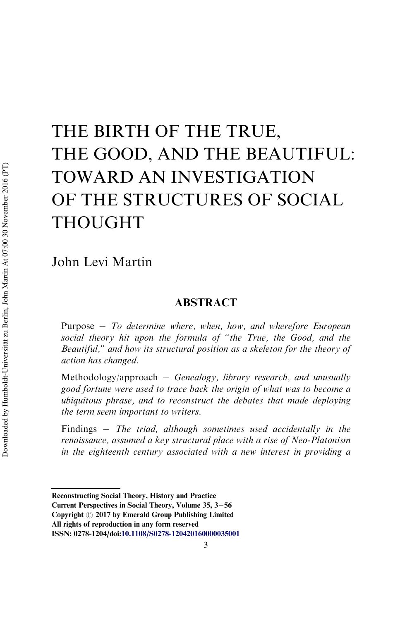# THE BIRTH OF THE TRUE, THE GOOD, AND THE BEAUTIFUL: TOWARD AN INVESTIGATION OF THE STRUCTURES OF SOCIAL THOUGHT

# John Levi Martin

# ABSTRACT

Purpose *To determine where, when, how, and wherefore European social theory hit upon the formula of "the True, the Good, and the Beautiful," and how its structural position as a skeleton for the theory of action has changed.*

Methodology/approach *Genealogy, library research, and unusually good fortune were used to trace back the origin of what was to become a ubiquitous phrase, and to reconstruct the debates that made deploying the term seem important to writers.*

Findings *The triad, although sometimes used accidentally in the renaissance, assumed a key structural place with a rise of Neo-Platonism in the eighteenth century associated with a new interest in providing a*

Reconstructing Social Theory, History and Practice

Current Perspectives in Social Theory, Volume 35, 3-56

Copyright  $\odot$  2017 by Emerald Group Publishing Limited

All rights of reproduction in any form reserved

ISSN: 0278-1204/doi:[10.1108/S0278-120420160000035001](http://dx.doi.org/10.1108/S0278-120420160000035001)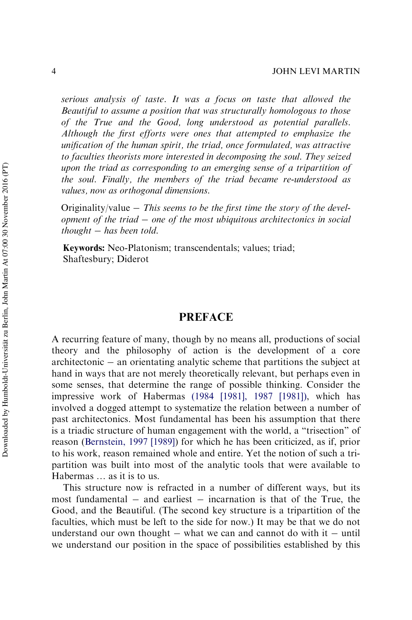*serious analysis of taste. It was a focus on taste that allowed the Beautiful to assume a position that was structurally homologous to those of the True and the Good, long understood as potential parallels. Although the first efforts were ones that attempted to emphasize the unification of the human spirit, the triad, once formulated, was attractive to faculties theorists more interested in decomposing the soul. They seized upon the triad as corresponding to an emerging sense of a tripartition of the soul. Finally, the members of the triad became re-understood as values, now as orthogonal dimensions.*

Originality/value *This seems to be the first time the story of the development of the triad one of the most ubiquitous architectonics in social thought has been told.*

Keywords: Neo-Platonism; transcendentals; values; triad; Shaftesbury; Diderot

# PREFACE

A recurring feature of many, though by no means all, productions of social theory and the philosophy of action is the development of a core  $a$ rchitectonic  $-\alpha$  orientating analytic scheme that partitions the subject at hand in ways that are not merely theoretically relevant, but perhaps even in some senses, that determine the range of possible thinking. Consider the impressive work of Habermas (1984 [1981], 1987 [1981]), which has involved a dogged attempt to systematize the relation between a number of past architectonics. Most fundamental has been his assumption that there is a triadic structure of human engagement with the world, a "trisection" of reason ([Bernstein, 1997 \[1989\]](#page-48-0)) for which he has been criticized, as if, prior to his work, reason remained whole and entire. Yet the notion of such a tripartition was built into most of the analytic tools that were available to Habermas … as it is to us.

This structure now is refracted in a number of different ways, but its most fundamental  $-$  and earliest  $-$  incarnation is that of the True, the Good, and the Beautiful. (The second key structure is a tripartition of the faculties, which must be left to the side for now.) It may be that we do not understand our own thought  $-$  what we can and cannot do with it  $-$  until we understand our position in the space of possibilities established by this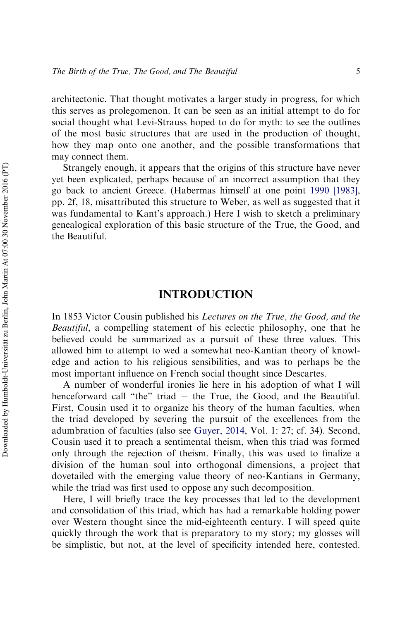architectonic. That thought motivates a larger study in progress, for which this serves as prolegomenon. It can be seen as an initial attempt to do for social thought what Levi-Strauss hoped to do for myth: to see the outlines of the most basic structures that are used in the production of thought, how they map onto one another, and the possible transformations that may connect them.

Strangely enough, it appears that the origins of this structure have never yet been explicated, perhaps because of an incorrect assumption that they go back to ancient Greece. (Habermas himself at one point [1990 \[1983\]](#page-50-0), pp. 2f, 18, misattributed this structure to Weber, as well as suggested that it was fundamental to Kant's approach.) Here I wish to sketch a preliminary genealogical exploration of this basic structure of the True, the Good, and the Beautiful.

# INTRODUCTION

In 1853 Victor Cousin published his *Lectures on the True, the Good, and the Beautiful*, a compelling statement of his eclectic philosophy, one that he believed could be summarized as a pursuit of these three values. This allowed him to attempt to wed a somewhat neo-Kantian theory of knowledge and action to his religious sensibilities, and was to perhaps be the most important influence on French social thought since Descartes.

A number of wonderful ironies lie here in his adoption of what I will henceforward call "the" triad - the True, the Good, and the Beautiful. First, Cousin used it to organize his theory of the human faculties, when the triad developed by severing the pursuit of the excellences from the adumbration of faculties (also see [Guyer, 2014,](#page-50-1) Vol. 1: 27; cf. 34). Second, Cousin used it to preach a sentimental theism, when this triad was formed only through the rejection of theism. Finally, this was used to finalize a division of the human soul into orthogonal dimensions, a project that dovetailed with the emerging value theory of neo-Kantians in Germany, while the triad was first used to oppose any such decomposition.

Here, I will briefly trace the key processes that led to the development and consolidation of this triad, which has had a remarkable holding power over Western thought since the mid-eighteenth century. I will speed quite quickly through the work that is preparatory to my story; my glosses will be simplistic, but not, at the level of specificity intended here, contested.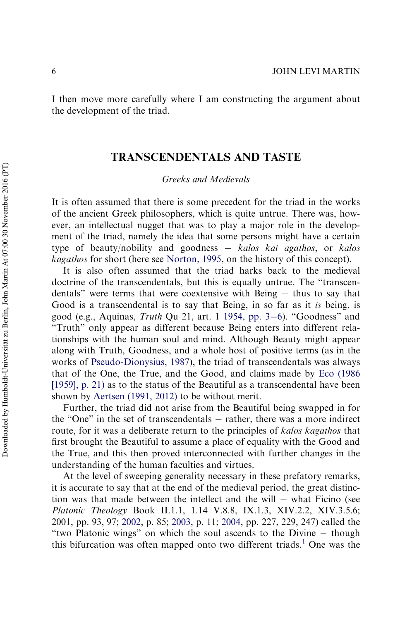I then move more carefully where I am constructing the argument about the development of the triad.

# TRANSCENDENTALS AND TASTE

*Greeks and Medievals*

It is often assumed that there is some precedent for the triad in the works of the ancient Greek philosophers, which is quite untrue. There was, however, an intellectual nugget that was to play a major role in the development of the triad, namely the idea that some persons might have a certain type of beauty/nobility and goodness *kalos kai agathos*, or *kalos kagathos* for short (here see [Norton, 1995,](#page-51-0) on the history of this concept).

It is also often assumed that the triad harks back to the medieval doctrine of the transcendentals, but this is equally untrue. The "transcendentals" were terms that were coextensive with Being  $-$  thus to say that Good is a transcendental is to say that Being, in so far as it *is* being, is good (e.g., Aquinas, *Truth* Qu 21, art. 1 [1954, pp. 3](#page-48-1)–[6](#page-48-1)). "Goodness" and "Truth" only appear as different because Being enters into different relationships with the human soul and mind. Although Beauty might appear along with Truth, Goodness, and a whole host of positive terms (as in the works of [Pseudo-Dionysius, 1987](#page-51-1)), the triad of transcendentals was always that of the One, the True, and the Good, and claims made by [Eco \(1986](#page-49-0) [\[1959\], p. 21\)](#page-49-0) as to the status of the Beautiful as a transcendental have been shown by Aertsen (1991, 2012) to be without merit.

Further, the triad did not arise from the Beautiful being swapped in for the "One" in the set of transcendentals  $-$  rather, there was a more indirect route, for it was a deliberate return to the principles of *kalos kagathos* that first brought the Beautiful to assume a place of equality with the Good and the True, and this then proved interconnected with further changes in the understanding of the human faculties and virtues.

At the level of sweeping generality necessary in these prefatory remarks, it is accurate to say that at the end of the medieval period, the great distinction was that made between the intellect and the will  $-$  what Ficino (see *Platonic Theology* Book II.1.1, 1.14 V.8.8, IX.1.3, XIV.2.2, XIV.3.5.6; 2001, pp. 93, 97; [2002](#page-49-1), p. 85; [2003](#page-49-2), p. 11; [2004,](#page-49-3) pp. 227, 229, 247) called the "two Platonic wings" on which the soul ascends to the Divine  $-$  though this bifurcation was often mapped onto two different triads.<sup>[1](#page-40-0)</sup> One was the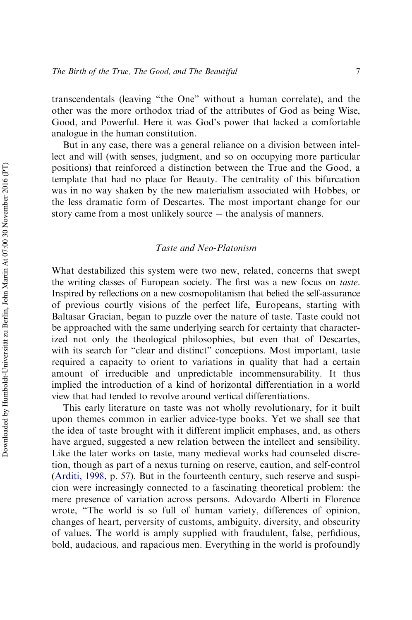transcendentals (leaving "the One" without a human correlate), and the other was the more orthodox triad of the attributes of God as being Wise, Good, and Powerful. Here it was God's power that lacked a comfortable analogue in the human constitution.

But in any case, there was a general reliance on a division between intellect and will (with senses, judgment, and so on occupying more particular positions) that reinforced a distinction between the True and the Good, a template that had no place for Beauty. The centrality of this bifurcation was in no way shaken by the new materialism associated with Hobbes, or the less dramatic form of Descartes. The most important change for our story came from a most unlikely source  $-$  the analysis of manners.

#### *Taste and Neo-Platonism*

What destabilized this system were two new, related, concerns that swept the writing classes of European society. The first was a new focus on *taste*. Inspired by reflections on a new cosmopolitanism that belied the self-assurance of previous courtly visions of the perfect life, Europeans, starting with Baltasar Gracian, began to puzzle over the nature of taste. Taste could not be approached with the same underlying search for certainty that characterized not only the theological philosophies, but even that of Descartes, with its search for "clear and distinct" conceptions. Most important, taste required a capacity to orient to variations in quality that had a certain amount of irreducible and unpredictable incommensurability. It thus implied the introduction of a kind of horizontal differentiation in a world view that had tended to revolve around vertical differentiations.

This early literature on taste was not wholly revolutionary, for it built upon themes common in earlier advice-type books. Yet we shall see that the idea of taste brought with it different implicit emphases, and, as others have argued, suggested a new relation between the intellect and sensibility. Like the later works on taste, many medieval works had counseled discretion, though as part of a nexus turning on reserve, caution, and self-control [\(Arditi, 1998](#page-48-2), p. 57). But in the fourteenth century, such reserve and suspicion were increasingly connected to a fascinating theoretical problem: the mere presence of variation across persons. Adovardo Alberti in Florence wrote, "The world is so full of human variety, differences of opinion, changes of heart, perversity of customs, ambiguity, diversity, and obscurity of values. The world is amply supplied with fraudulent, false, perfidious, bold, audacious, and rapacious men. Everything in the world is profoundly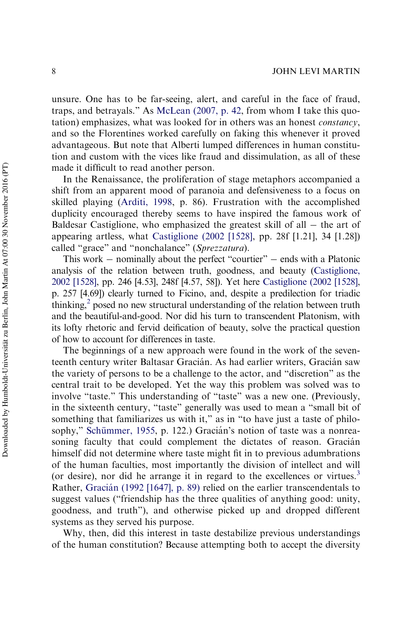unsure. One has to be far-seeing, alert, and careful in the face of fraud, traps, and betrayals." As [McLean \(2007, p. 42](#page-51-2), from whom I take this quotation) emphasizes, what was looked for in others was an honest *constancy*, and so the Florentines worked carefully on faking this whenever it proved advantageous. But note that Alberti lumped differences in human constitution and custom with the vices like fraud and dissimulation, as all of these made it difficult to read another person.

In the Renaissance, the proliferation of stage metaphors accompanied a shift from an apparent mood of paranoia and defensiveness to a focus on skilled playing [\(Arditi, 1998](#page-48-2), p. 86). Frustration with the accomplished duplicity encouraged thereby seems to have inspired the famous work of Baldesar Castiglione, who emphasized the greatest skill of all  $-$  the art of appearing artless, what [Castiglione \(2002 \[1528\]](#page-48-3), pp. 28f [1.21], 34 [1.28]) called "grace" and "nonchalance" (*Sprezzatura*).

This work  $-$  nominally about the perfect "courtier"  $-$  ends with a Platonic analysis of the relation between truth, goodness, and beauty [\(Castiglione,](#page-48-3) [2002 \[1528\],](#page-48-3) pp. 246 [4.53], 248f [4.57, 58]). Yet here [Castiglione \(2002 \[1528\]](#page-48-3), p. 257 [4.69]) clearly turned to Ficino, and, despite a predilection for triadic thinking,<sup>[2](#page-40-1)</sup> posed no new structural understanding of the relation between truth and the beautiful-and-good. Nor did his turn to transcendent Platonism, with its lofty rhetoric and fervid deification of beauty, solve the practical question of how to account for differences in taste.

The beginnings of a new approach were found in the work of the seventeenth century writer Baltasar Gracián. As had earlier writers, Gracián saw the variety of persons to be a challenge to the actor, and "discretion" as the central trait to be developed. Yet the way this problem was solved was to involve "taste." This understanding of "taste" was a new one. (Previously, in the sixteenth century, "taste" generally was used to mean a "small bit of something that familiarizes us with it," as in "to have just a taste of philosophy," Schümmer, 1955, p. 122.) Gracián's notion of taste was a nonreasoning faculty that could complement the dictates of reason. Gracián himself did not determine where taste might fit in to previous adumbrations of the human faculties, most importantly the division of intellect and will (or desire), nor did he arrange it in regard to the excellences or virtues.<sup>[3](#page-41-0)</sup> Rather, Gracián (1992 [1647], p. 89) relied on the earlier transcendentals to suggest values ("friendship has the three qualities of anything good: unity, goodness, and truth"), and otherwise picked up and dropped different systems as they served his purpose.

Why, then, did this interest in taste destabilize previous understandings of the human constitution? Because attempting both to accept the diversity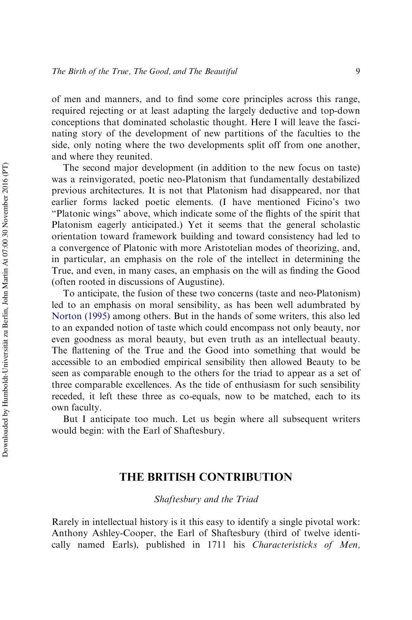of men and manners, and to find some core principles across this range, required rejecting or at least adapting the largely deductive and top-down conceptions that dominated scholastic thought. Here I will leave the fascinating story of the development of new partitions of the faculties to the side, only noting where the two developments split off from one another, and where they reunited.

The second major development (in addition to the new focus on taste) was a reinvigorated, poetic neo-Platonism that fundamentally destabilized previous architectures. It is not that Platonism had disappeared, nor that earlier forms lacked poetic elements. (I have mentioned Ficino's two "Platonic wings" above, which indicate some of the flights of the spirit that Platonism eagerly anticipated.) Yet it seems that the general scholastic orientation toward framework building and toward consistency had led to a convergence of Platonic with more Aristotelian modes of theorizing, and, in particular, an emphasis on the role of the intellect in determining the True, and even, in many cases, an emphasis on the will as finding the Good (often rooted in discussions of Augustine).

To anticipate, the fusion of these two concerns (taste and neo-Platonism) led to an emphasis on moral sensibility, as has been well adumbrated by [Norton \(1995\)](#page-51-0) among others. But in the hands of some writers, this also led to an expanded notion of taste which could encompass not only beauty, nor even goodness as moral beauty, but even truth as an intellectual beauty. The flattening of the True and the Good into something that would be accessible to an embodied empirical sensibility then allowed Beauty to be seen as comparable enough to the others for the triad to appear as a set of three comparable excellences. As the tide of enthusiasm for such sensibility receded, it left these three as co-equals, now to be matched, each to its own faculty.

But I anticipate too much. Let us begin where all subsequent writers would begin: with the Earl of Shaftesbury.

# THE BRITISH CONTRIBUTION

*Shaftesbury and the Triad*

Rarely in intellectual history is it this easy to identify a single pivotal work: Anthony Ashley-Cooper, the Earl of Shaftesbury (third of twelve identically named Earls), published in 1711 his *Characteristicks of Men,*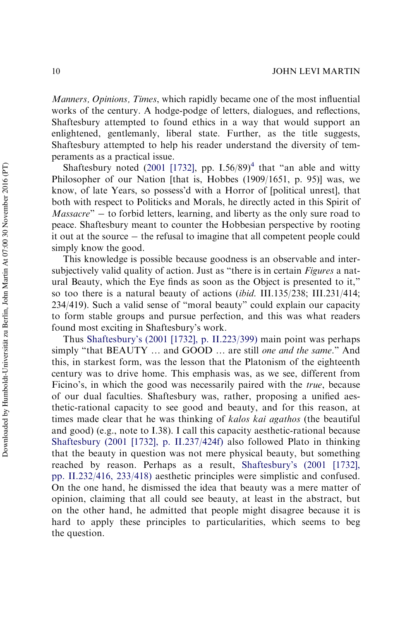*Manners, Opinions, Times*, which rapidly became one of the most influential works of the century. A hodge-podge of letters, dialogues, and reflections, Shaftesbury attempted to found ethics in a way that would support an enlightened, gentlemanly, liberal state. Further, as the title suggests, Shaftesbury attempted to help his reader understand the diversity of temperaments as a practical issue.

Shaftesbury noted ([2001 \[1732\]](#page-52-1), pp.  $1.56/89)^4$  $1.56/89)^4$  that "an able and witty Philosopher of our Nation [that is, Hobbes (1909/1651, p. 95)] was, we know, of late Years, so possess'd with a Horror of [political unrest], that both with respect to Politicks and Morals, he directly acted in this Spirit of *Massacre*" – to forbid letters, learning, and liberty as the only sure road to peace. Shaftesbury meant to counter the Hobbesian perspective by rooting it out at the source  $-$  the refusal to imagine that all competent people could simply know the good.

This knowledge is possible because goodness is an observable and intersubjectively valid quality of action. Just as "there is in certain *Figures* a natural Beauty, which the Eye finds as soon as the Object is presented to it," so too there is a natural beauty of actions (*ibid*. III.135/238; III.231/414; 234/419). Such a valid sense of "moral beauty" could explain our capacity to form stable groups and pursue perfection, and this was what readers found most exciting in Shaftesbury's work.

Thus [Shaftesbury's \(2001 \[1732\], p. II.223/399\)](#page-52-1) main point was perhaps simply "that BEAUTY … and GOOD … are still *one and the same.*" And this, in starkest form, was the lesson that the Platonism of the eighteenth century was to drive home. This emphasis was, as we see, different from Ficino's, in which the good was necessarily paired with the *true*, because of our dual faculties. Shaftesbury was, rather, proposing a unified aesthetic-rational capacity to see good and beauty, and for this reason, at times made clear that he was thinking of *kalos kai agathos* (the beautiful and good) (e.g., note to I.38). I call this capacity aesthetic-rational because [Shaftesbury \(2001 \[1732\], p. II.237/424f\)](#page-52-1) also followed Plato in thinking that the beauty in question was not mere physical beauty, but something reached by reason. Perhaps as a result, [Shaftesbury's \(2001 \[1732\],](#page-52-1) [pp. II.232/416, 233/418\)](#page-52-1) aesthetic principles were simplistic and confused. On the one hand, he dismissed the idea that beauty was a mere matter of opinion, claiming that all could see beauty, at least in the abstract, but on the other hand, he admitted that people might disagree because it is hard to apply these principles to particularities, which seems to beg the question.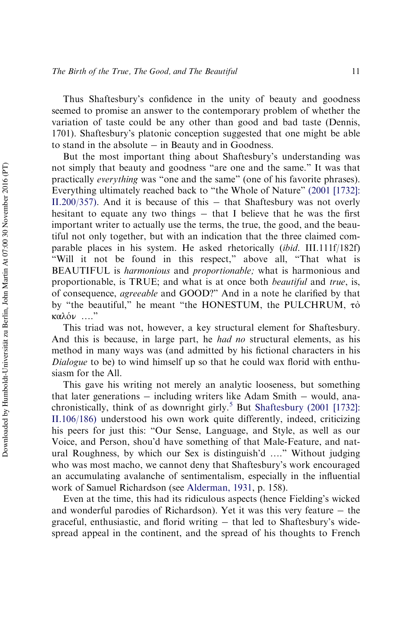Thus Shaftesbury's confidence in the unity of beauty and goodness seemed to promise an answer to the contemporary problem of whether the variation of taste could be any other than good and bad taste (Dennis, 1701). Shaftesbury's platonic conception suggested that one might be able to stand in the absolute  $-$  in Beauty and in Goodness.

But the most important thing about Shaftesbury's understanding was not simply that beauty and goodness "are one and the same." It was that practically *everything* was "one and the same" (one of his favorite phrases). Everything ultimately reached back to "the Whole of Nature" [\(2001 \[1732\]:](#page-52-1) [II.200/357\)](#page-52-1). And it is because of this  $-$  that Shaftesbury was not overly hesitant to equate any two things  $-$  that I believe that he was the first important writer to actually use the terms, the true, the good, and the beautiful not only together, but with an indication that the three claimed comparable places in his system. He asked rhetorically (*ibid*. III.111f/182f) "Will it not be found in this respect," above all, "That what is BEAUTIFUL is *harmonious* and *proportionable;* what is harmonious and proportionable, is TRUE; and what is at once both *beautiful* and *true*, is, of consequence, *agreeable* and GOOD?" And in a note he clarified by that by "the beautiful," he meant "the HONESTUM, the PULCHRUM,  $\tau$ ò  $\kappa$ αλόν ...."

This triad was not, however, a key structural element for Shaftesbury. And this is because, in large part, he *had no* structural elements, as his method in many ways was (and admitted by his fictional characters in his *Dialogue* to be) to wind himself up so that he could wax florid with enthusiasm for the All.

This gave his writing not merely an analytic looseness, but something that later generations  $-$  including writers like Adam Smith  $-$  would, ana-chronistically, think of as downright girly.<sup>[5](#page-41-2)</sup> But [Shaftesbury \(2001 \[1732\]:](#page-52-1) [II.106/186\)](#page-52-1) understood his own work quite differently, indeed, criticizing his peers for just this: "Our Sense, Language, and Style, as well as our Voice, and Person, shou'd have something of that Male-Feature, and natural Roughness, by which our Sex is distinguish'd …." Without judging who was most macho, we cannot deny that Shaftesbury's work encouraged an accumulating avalanche of sentimentalism, especially in the influential work of Samuel Richardson (see [Alderman, 1931,](#page-48-4) p. 158).

Even at the time, this had its ridiculous aspects (hence Fielding's wicked and wonderful parodies of Richardson). Yet it was this very feature  $-$  the graceful, enthusiastic, and florid writing  $-$  that led to Shaftesbury's widespread appeal in the continent, and the spread of his thoughts to French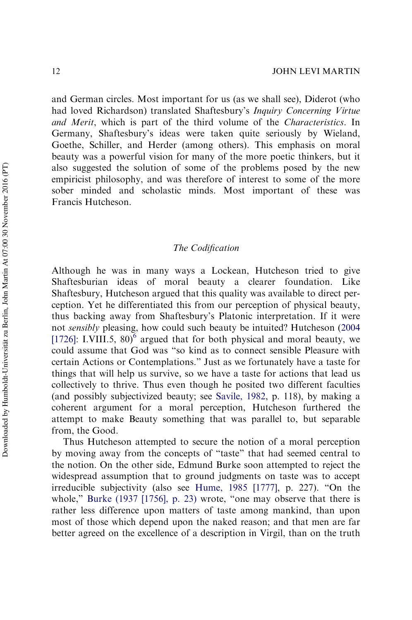and German circles. Most important for us (as we shall see), Diderot (who had loved Richardson) translated Shaftesbury's *Inquiry Concerning Virtue and Merit*, which is part of the third volume of the *Characteristics*. In Germany, Shaftesbury's ideas were taken quite seriously by Wieland, Goethe, Schiller, and Herder (among others). This emphasis on moral beauty was a powerful vision for many of the more poetic thinkers, but it also suggested the solution of some of the problems posed by the new empiricist philosophy, and was therefore of interest to some of the more sober minded and scholastic minds. Most important of these was Francis Hutcheson.

## *The Codification*

Although he was in many ways a Lockean, Hutcheson tried to give Shaftesburian ideas of moral beauty a clearer foundation. Like Shaftesbury, Hutcheson argued that this quality was available to direct perception. Yet he differentiated this from our perception of physical beauty, thus backing away from Shaftesbury's Platonic interpretation. If it were not *sensibly* pleasing, how could such beauty be intuited? Hutcheson ([2004](#page-51-3) [\[1726\]](#page-51-3): I.VIII.5, 80)<sup>[6](#page-41-3)</sup> argued that for both physical and moral beauty, we could assume that God was "so kind as to connect sensible Pleasure with certain Actions or Contemplations." Just as we fortunately have a taste for things that will help us survive, so we have a taste for actions that lead us collectively to thrive. Thus even though he posited two different faculties (and possibly subjectivized beauty; see [Savile, 1982,](#page-52-2) p. 118), by making a coherent argument for a moral perception, Hutcheson furthered the attempt to make Beauty something that was parallel to, but separable from, the Good.

Thus Hutcheson attempted to secure the notion of a moral perception by moving away from the concepts of "taste" that had seemed central to the notion. On the other side, Edmund Burke soon attempted to reject the widespread assumption that to ground judgments on taste was to accept irreducible subjectivity (also see [Hume, 1985 \[1777\]](#page-51-4), p. 227). "On the whole," [Burke \(1937 \[1756\], p. 23\)](#page-48-5) wrote, "one may observe that there is rather less difference upon matters of taste among mankind, than upon most of those which depend upon the naked reason; and that men are far better agreed on the excellence of a description in Virgil, than on the truth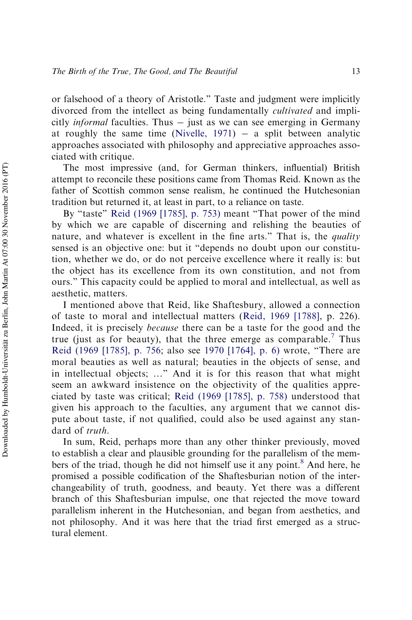or falsehood of a theory of Aristotle." Taste and judgment were implicitly divorced from the intellect as being fundamentally *cultivated* and implicitly *informal* faculties. Thus – just as we can see emerging in Germany at roughly the same time (Nivelle,  $1971$ ) - a split between analytic approaches associated with philosophy and appreciative approaches associated with critique.

The most impressive (and, for German thinkers, influential) British attempt to reconcile these positions came from Thomas Reid. Known as the father of Scottish common sense realism, he continued the Hutchesonian tradition but returned it, at least in part, to a reliance on taste.

By "taste" [Reid \(1969 \[1785\], p. 753\)](#page-52-3) meant "That power of the mind by which we are capable of discerning and relishing the beauties of nature, and whatever is excellent in the fine arts." That is, the *quality* sensed is an objective one: but it "depends no doubt upon our constitution, whether we do, or do not perceive excellence where it really is: but the object has its excellence from its own constitution, and not from ours." This capacity could be applied to moral and intellectual, as well as aesthetic, matters.

I mentioned above that Reid, like Shaftesbury, allowed a connection of taste to moral and intellectual matters ([Reid, 1969 \[1788\]](#page-52-4), p. 226). Indeed, it is precisely *because* there can be a taste for the good and the true (just as for beauty), that the three emerge as comparable.<sup>[7](#page-41-4)</sup> Thus [Reid \(1969 \[1785\], p. 756](#page-52-3); also see [1970 \[1764\], p. 6\)](#page-52-5) wrote, "There are moral beauties as well as natural; beauties in the objects of sense, and in intellectual objects; …" And it is for this reason that what might seem an awkward insistence on the objectivity of the qualities appreciated by taste was critical; [Reid \(1969 \[1785\], p. 758\)](#page-52-3) understood that given his approach to the faculties, any argument that we cannot dispute about taste, if not qualified, could also be used against any standard of *truth*.

In sum, Reid, perhaps more than any other thinker previously, moved to establish a clear and plausible grounding for the parallelism of the mem-bers of the triad, though he did not himself use it any point.<sup>[8](#page-41-5)</sup> And here, he promised a possible codification of the Shaftesburian notion of the interchangeability of truth, goodness, and beauty. Yet there was a different branch of this Shaftesburian impulse, one that rejected the move toward parallelism inherent in the Hutchesonian, and began from aesthetics, and not philosophy. And it was here that the triad first emerged as a structural element.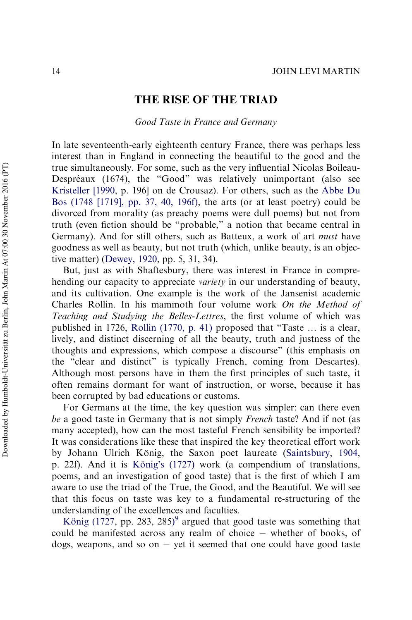# THE RISE OF THE TRIAD

*Good Taste in France and Germany*

In late seventeenth-early eighteenth century France, there was perhaps less interest than in England in connecting the beautiful to the good and the true simultaneously. For some, such as the very influential Nicolas Boileau-Despréaux (1674), the "Good" was relatively unimportant (also see [Kristeller \[1990](#page-51-6), p. 196] on de Crousaz). For others, such as the [Abbe Du](#page-49-4) [Bos \(1748 \[1719\], pp. 37, 40, 196f\)](#page-49-4), the arts (or at least poetry) could be divorced from morality (as preachy poems were dull poems) but not from truth (even fiction should be "probable," a notion that became central in Germany). And for still others, such as Batteux, a work of art *must* have goodness as well as beauty, but not truth (which, unlike beauty, is an objective matter) ([Dewey, 1920](#page-48-6), pp. 5, 31, 34).

But, just as with Shaftesbury, there was interest in France in comprehending our capacity to appreciate *variety* in our understanding of beauty, and its cultivation. One example is the work of the Jansenist academic Charles Rollin. In his mammoth four volume work *On the Method of Teaching and Studying the Belles-Lettres*, the first volume of which was published in 1726, [Rollin \(1770, p. 41\)](#page-52-6) proposed that "Taste … is a clear, lively, and distinct discerning of all the beauty, truth and justness of the thoughts and expressions, which compose a discourse" (this emphasis on the "clear and distinct" is typically French, coming from Descartes). Although most persons have in them the first principles of such taste, it often remains dormant for want of instruction, or worse, because it has been corrupted by bad educations or customs.

For Germans at the time, the key question was simpler: can there even *be* a good taste in Germany that is not simply *French* taste? And if not (as many accepted), how can the most tasteful French sensibility be imported? It was considerations like these that inspired the key theoretical effort work by Johann Ulrich König, the Saxon poet laureate [\(Saintsbury, 1904](#page-52-7), p. 22f). And it is König's (1727) work (a compendium of translations, poems, and an investigation of good taste) that is the first of which I am aware to use the triad of the True, the Good, and the Beautiful. We will see that this focus on taste was key to a fundamental re-structuring of the understanding of the excellences and faculties.

König (1727, pp. 283, 285)<sup>[9](#page-41-6)</sup> argued that good taste was something that could be manifested across any realm of choice – whether of books, of dogs, weapons, and so on  $-$  yet it seemed that one could have good taste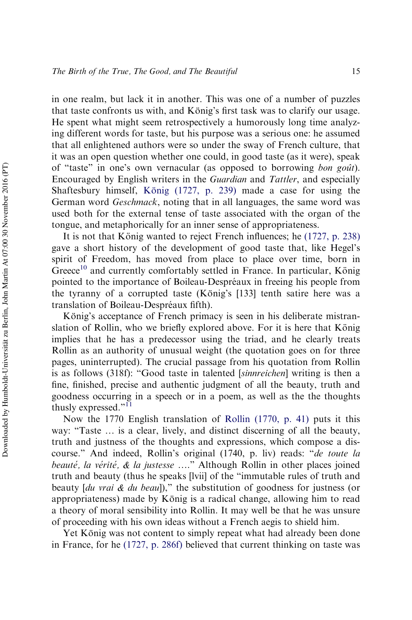in one realm, but lack it in another. This was one of a number of puzzles that taste confronts us with, and König's first task was to clarify our usage. He spent what might seem retrospectively a humorously long time analyzing different words for taste, but his purpose was a serious one: he assumed that all enlightened authors were so under the sway of French culture, that it was an open question whether one could, in good taste (as it were), speak of "taste" in one's own vernacular (as opposed to borrowing *bon gouˆt*). Encouraged by English writers in the *Guardian* and *Tattler*, and especially Shaftesbury himself, König (1727, p. 239) made a case for using the German word *Geschmack*, noting that in all languages, the same word was used both for the external tense of taste associated with the organ of the tongue, and metaphorically for an inner sense of appropriateness.

It is not that König wanted to reject French influences; he [\(1727, p. 238\)](#page-51-7) gave a short history of the development of good taste that, like Hegel's spirit of Freedom, has moved from place to place over time, born in  $G$ reece<sup>[10](#page-41-7)</sup> and currently comfortably settled in France. In particular, König pointed to the importance of Boileau-Despréaux in freeing his people from the tyranny of a corrupted taste (König's  $[133]$  tenth satire here was a translation of Boileau-Despréaux fifth).

König's acceptance of French primacy is seen in his deliberate mistranslation of Rollin, who we briefly explored above. For it is here that König implies that he has a predecessor using the triad, and he clearly treats Rollin as an authority of unusual weight (the quotation goes on for three pages, uninterrupted). The crucial passage from his quotation from Rollin is as follows (318f): "Good taste in talented [*sinnreichen*] writing is then a fine, finished, precise and authentic judgment of all the beauty, truth and goodness occurring in a speech or in a poem, as well as the the thoughts thusly expressed."<sup>[11](#page-41-8)</sup>

Now the 1770 English translation of [Rollin \(1770, p. 41\)](#page-52-6) puts it this way: "Taste … is a clear, lively, and distinct discerning of all the beauty, truth and justness of the thoughts and expressions, which compose a discourse." And indeed, Rollin's original (1740, p. liv) reads: "*de toute la beauté, la vérité, & la justesse* ...." Although Rollin in other places joined truth and beauty (thus he speaks [lvii] of the "immutable rules of truth and beauty [*du vrai & du beau*])," the substitution of goodness for justness (or appropriateness) made by König is a radical change, allowing him to read a theory of moral sensibility into Rollin. It may well be that he was unsure of proceeding with his own ideas without a French aegis to shield him.

Yet König was not content to simply repeat what had already been done in France, for he [\(1727, p. 286f\)](#page-51-7) believed that current thinking on taste was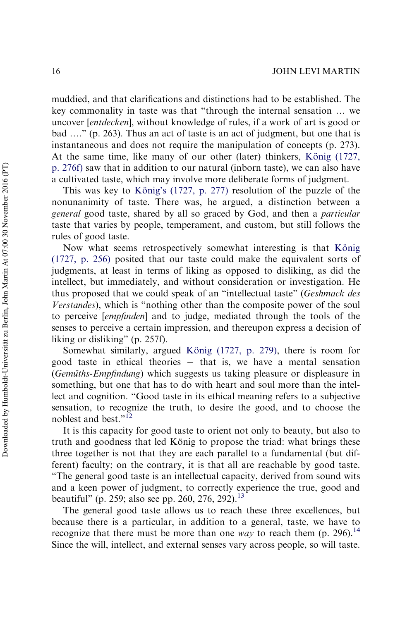muddied, and that clarifications and distinctions had to be established. The key commonality in taste was that "through the internal sensation … we uncover [*entdecken*], without knowledge of rules, if a work of art is good or bad …." (p. 263). Thus an act of taste is an act of judgment, but one that is instantaneous and does not require the manipulation of concepts (p. 273). At the same time, like many of our other (later) thinkers, König  $(1727, 172)$ [p. 276f\)](#page-51-7) saw that in addition to our natural (inborn taste), we can also have a cultivated taste, which may involve more deliberate forms of judgment.

This was key to König's  $(1727, p. 277)$  resolution of the puzzle of the nonunanimity of taste. There was, he argued, a distinction between a *general* good taste, shared by all so graced by God, and then a *particular* taste that varies by people, temperament, and custom, but still follows the rules of good taste.

Now what seems retrospectively somewhat interesting is that König [\(1727, p. 256\)](#page-51-7) posited that our taste could make the equivalent sorts of judgments, at least in terms of liking as opposed to disliking, as did the intellect, but immediately, and without consideration or investigation. He thus proposed that we could speak of an "intellectual taste" (*Geshmack des Verstandes*), which is "nothing other than the composite power of the soul to perceive [*empfinden*] and to judge, mediated through the tools of the senses to perceive a certain impression, and thereupon express a decision of liking or disliking" (p. 257f).

Somewhat similarly, argued König (1727, p. 279), there is room for good taste in ethical theories  $-$  that is, we have a mental sensation (*Gemüths-Empfindung*) which suggests us taking pleasure or displeasure in something, but one that has to do with heart and soul more than the intellect and cognition. "Good taste in its ethical meaning refers to a subjective sensation, to recognize the truth, to desire the good, and to choose the noblest and best."<sup>[12](#page-41-9)</sup>

It is this capacity for good taste to orient not only to beauty, but also to truth and goodness that led König to propose the triad: what brings these three together is not that they are each parallel to a fundamental (but different) faculty; on the contrary, it is that all are reachable by good taste. "The general good taste is an intellectual capacity, derived from sound wits and a keen power of judgment, to correctly experience the true, good and beautiful" (p. 259; also see pp. 260, 276, 292).<sup>[13](#page-42-0)</sup>

The general good taste allows us to reach these three excellences, but because there is a particular, in addition to a general, taste, we have to recognize that there must be more than one *way* to reach them (p. 296).<sup>[14](#page-42-1)</sup> Since the will, intellect, and external senses vary across people, so will taste.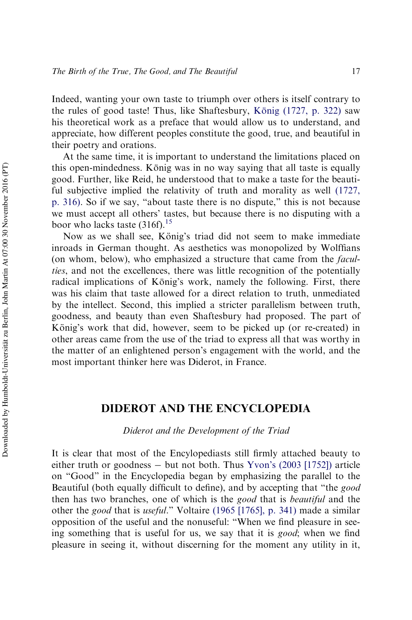Indeed, wanting your own taste to triumph over others is itself contrary to the rules of good taste! Thus, like Shaftesbury, König  $(1727, p. 322)$  saw his theoretical work as a preface that would allow us to understand, and appreciate, how different peoples constitute the good, true, and beautiful in their poetry and orations.

At the same time, it is important to understand the limitations placed on this open-mindedness. König was in no way saying that all taste is equally good. Further, like Reid, he understood that to make a taste for the beautiful subjective implied the relativity of truth and morality as well [\(1727,](#page-51-7) [p. 316\)](#page-51-7). So if we say, "about taste there is no dispute," this is not because we must accept all others' tastes, but because there is no disputing with a boor who lacks taste  $(316f).$ <sup>[15](#page-42-2)</sup>

Now as we shall see, König's triad did not seem to make immediate inroads in German thought. As aesthetics was monopolized by Wolffians (on whom, below), who emphasized a structure that came from the *faculties*, and not the excellences, there was little recognition of the potentially radical implications of König's work, namely the following. First, there was his claim that taste allowed for a direct relation to truth, unmediated by the intellect. Second, this implied a stricter parallelism between truth, goodness, and beauty than even Shaftesbury had proposed. The part of König's work that did, however, seem to be picked up (or re-created) in other areas came from the use of the triad to express all that was worthy in the matter of an enlightened person's engagement with the world, and the most important thinker here was Diderot, in France.

# DIDEROT AND THE ENCYCLOPEDIA

*Diderot and the Development of the Triad*

It is clear that most of the Encylopediasts still firmly attached beauty to either truth or goodness  $-$  but not both. Thus [Yvon's \(2003 \[1752\]\)](#page-53-0) article on "Good" in the Encyclopedia began by emphasizing the parallel to the Beautiful (both equally difficult to define), and by accepting that "the *good* then has two branches, one of which is the *good* that is *beautiful* and the other the *good* that is *useful*." Voltaire [\(1965 \[1765\], p. 341\)](#page-52-8) made a similar opposition of the useful and the nonuseful: "When we find pleasure in seeing something that is useful for us, we say that it is *good*; when we find pleasure in seeing it, without discerning for the moment any utility in it,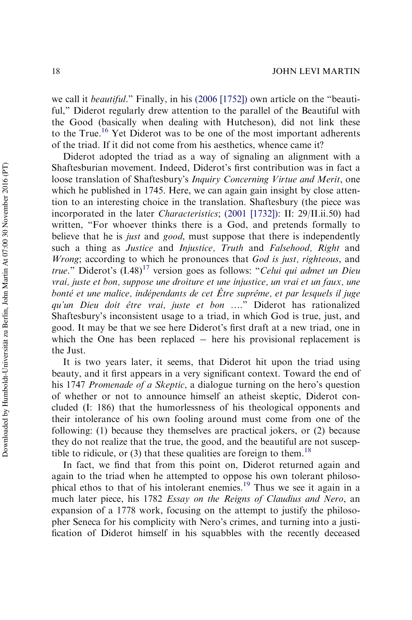we call it *beautiful*." Finally, in his [\(2006 \[1752\]\)](#page-49-5) own article on the "beautiful," Diderot regularly drew attention to the parallel of the Beautiful with the Good (basically when dealing with Hutcheson), did not link these to the True.<sup>[16](#page-42-3)</sup> Yet Diderot was to be one of the most important adherents of the triad. If it did not come from his aesthetics, whence came it?

Diderot adopted the triad as a way of signaling an alignment with a Shaftesburian movement. Indeed, Diderot's first contribution was in fact a loose translation of Shaftesbury's *Inquiry Concerning Virtue and Merit*, one which he published in 1745. Here, we can again gain insight by close attention to an interesting choice in the translation. Shaftesbury (the piece was incorporated in the later *Characteristics*; [\(2001 \[1732\]\):](#page-52-1) II: 29/II.ii.50) had written, "For whoever thinks there is a God, and pretends formally to believe that he is *just* and *good*, must suppose that there is independently such a thing as *Justice* and *Injustice, Truth* and *Falsehood, Right* and *Wrong*; according to which he pronounces that *God is just, righteous*, and *true.*" Diderot's  $(I.48)^{17}$  $(I.48)^{17}$  $(I.48)^{17}$  version goes as follows: "*Celui qui admet un Dieu vrai, juste et bon, suppose une droiture et une injustice, un vrai et un faux, une bonté et une malice, indépendants de cet Être suprême, et par lesquels il juge qu'un Dieu doit eˆtre vrai, juste et bon* …." Diderot has rationalized Shaftesbury's inconsistent usage to a triad, in which God is true, just, and good. It may be that we see here Diderot's first draft at a new triad, one in which the One has been replaced  $-$  here his provisional replacement is the Just.

It is two years later, it seems, that Diderot hit upon the triad using beauty, and it first appears in a very significant context. Toward the end of his 1747 *Promenade of a Skeptic*, a dialogue turning on the hero's question of whether or not to announce himself an atheist skeptic, Diderot concluded (I: 186) that the humorlessness of his theological opponents and their intolerance of his own fooling around must come from one of the following: (1) because they themselves are practical jokers, or (2) because they do not realize that the true, the good, and the beautiful are not susceptible to ridicule, or  $(3)$  that these qualities are foreign to them.<sup>[18](#page-42-5)</sup>

In fact, we find that from this point on, Diderot returned again and again to the triad when he attempted to oppose his own tolerant philosophical ethos to that of his intolerant enemies.[19](#page-42-6) Thus we see it again in a much later piece, his 1782 *Essay on the Reigns of Claudius and Nero*, an expansion of a 1778 work, focusing on the attempt to justify the philosopher Seneca for his complicity with Nero's crimes, and turning into a justification of Diderot himself in his squabbles with the recently deceased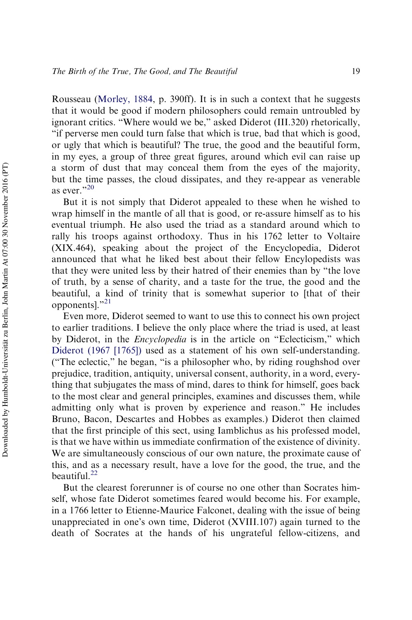Rousseau [\(Morley, 1884,](#page-51-8) p. 390ff). It is in such a context that he suggests that it would be good if modern philosophers could remain untroubled by ignorant critics. "Where would we be," asked Diderot (III.320) rhetorically, "if perverse men could turn false that which is true, bad that which is good, or ugly that which is beautiful? The true, the good and the beautiful form, in my eyes, a group of three great figures, around which evil can raise up a storm of dust that may conceal them from the eyes of the majority, but the time passes, the cloud dissipates, and they re-appear as venerable as ever."[20](#page-42-7)

But it is not simply that Diderot appealed to these when he wished to wrap himself in the mantle of all that is good, or re-assure himself as to his eventual triumph. He also used the triad as a standard around which to rally his troops against orthodoxy. Thus in his 1762 letter to Voltaire (XIX.464), speaking about the project of the Encyclopedia, Diderot announced that what he liked best about their fellow Encylopedists was that they were united less by their hatred of their enemies than by "the love of truth, by a sense of charity, and a taste for the true, the good and the beautiful, a kind of trinity that is somewhat superior to [that of their opponents]."[21](#page-42-8)

Even more, Diderot seemed to want to use this to connect his own project to earlier traditions. I believe the only place where the triad is used, at least by Diderot, in the *Encyclopedia* is in the article on "Eclecticism," which [Diderot \(1967 \[1765\]\)](#page-49-6) used as a statement of his own self-understanding. ("The eclectic," he began, "is a philosopher who, by riding roughshod over prejudice, tradition, antiquity, universal consent, authority, in a word, everything that subjugates the mass of mind, dares to think for himself, goes back to the most clear and general principles, examines and discusses them, while admitting only what is proven by experience and reason." He includes Bruno, Bacon, Descartes and Hobbes as examples.) Diderot then claimed that the first principle of this sect, using Iamblichus as his professed model, is that we have within us immediate confirmation of the existence of divinity. We are simultaneously conscious of our own nature, the proximate cause of this, and as a necessary result, have a love for the good, the true, and the beautiful.<sup>[22](#page-42-9)</sup>

But the clearest forerunner is of course no one other than Socrates himself, whose fate Diderot sometimes feared would become his. For example, in a 1766 letter to Etienne-Maurice Falconet, dealing with the issue of being unappreciated in one's own time, Diderot (XVIII.107) again turned to the death of Socrates at the hands of his ungrateful fellow-citizens, and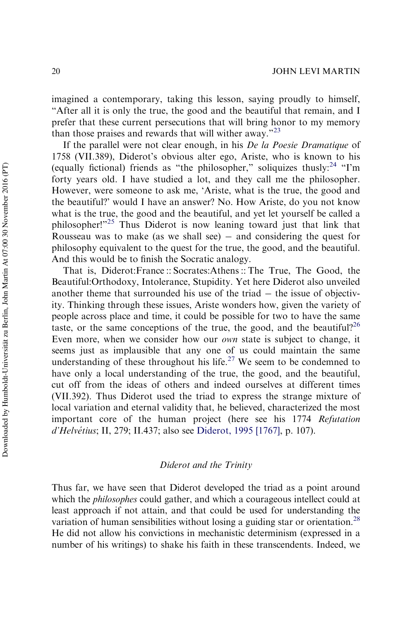imagined a contemporary, taking this lesson, saying proudly to himself, "After all it is only the true, the good and the beautiful that remain, and I prefer that these current persecutions that will bring honor to my memory than those praises and rewards that will wither away."[23](#page-42-10)

If the parallel were not clear enough, in his *De la Poesie Dramatique* of 1758 (VII.389), Diderot's obvious alter ego, Ariste, who is known to his (equally fictional) friends as "the philosopher," soliquizes thusly: $24$  "I'm forty years old. I have studied a lot, and they call me the philosopher. However, were someone to ask me, 'Ariste, what is the true, the good and the beautiful?' would I have an answer? No. How Ariste, do you not know what is the true, the good and the beautiful, and yet let yourself be called a philosopher!"[25](#page-43-1) Thus Diderot is now leaning toward just that link that Rousseau was to make (as we shall see)  $-$  and considering the quest for philosophy equivalent to the quest for the true, the good, and the beautiful. And this would be to finish the Socratic analogy.

That is, Diderot:France :: Socrates:Athens :: The True, The Good, the Beautiful:Orthodoxy, Intolerance, Stupidity. Yet here Diderot also unveiled another theme that surrounded his use of the triad  $-$  the issue of objectivity. Thinking through these issues, Ariste wonders how, given the variety of people across place and time, it could be possible for two to have the same taste, or the same conceptions of the true, the good, and the beautiful?<sup>[26](#page-43-2)</sup> Even more, when we consider how our *own* state is subject to change, it seems just as implausible that any one of us could maintain the same understanding of these throughout his life.<sup>[27](#page-43-3)</sup> We seem to be condemned to have only a local understanding of the true, the good, and the beautiful, cut off from the ideas of others and indeed ourselves at different times (VII.392). Thus Diderot used the triad to express the strange mixture of local variation and eternal validity that, he believed, characterized the most important core of the human project (here see his 1774 *Refutation d'Helve´tius*; II, 279; II.437; also see [Diderot, 1995 \[1767\],](#page-49-7) p. 107).

## *Diderot and the Trinity*

Thus far, we have seen that Diderot developed the triad as a point around which the *philosophes* could gather, and which a courageous intellect could at least approach if not attain, and that could be used for understanding the variation of human sensibilities without losing a guiding star or orientation.<sup>[28](#page-43-4)</sup> He did not allow his convictions in mechanistic determinism (expressed in a number of his writings) to shake his faith in these transcendents. Indeed, we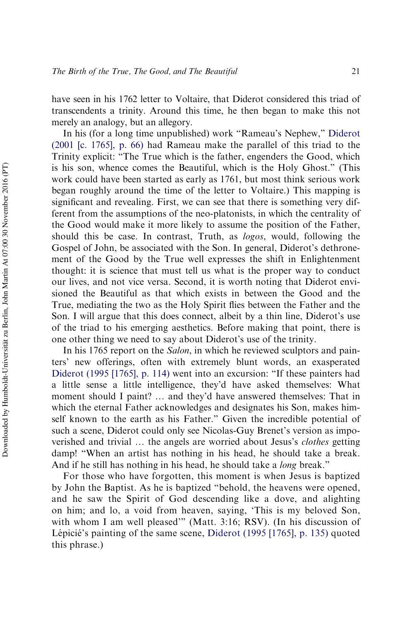have seen in his 1762 letter to Voltaire, that Diderot considered this triad of transcendents a trinity. Around this time, he then began to make this not merely an analogy, but an allegory.

In his (for a long time unpublished) work "Rameau's Nephew," [Diderot](#page-49-8) [\(2001 \[c. 1765\], p. 66\)](#page-49-8) had Rameau make the parallel of this triad to the Trinity explicit: "The True which is the father, engenders the Good, which is his son, whence comes the Beautiful, which is the Holy Ghost." (This work could have been started as early as 1761, but most think serious work began roughly around the time of the letter to Voltaire.) This mapping is significant and revealing. First, we can see that there is something very different from the assumptions of the neo-platonists, in which the centrality of the Good would make it more likely to assume the position of the Father, should this be case. In contrast, Truth, as *logos*, would, following the Gospel of John, be associated with the Son. In general, Diderot's dethronement of the Good by the True well expresses the shift in Enlightenment thought: it is science that must tell us what is the proper way to conduct our lives, and not vice versa. Second, it is worth noting that Diderot envisioned the Beautiful as that which exists in between the Good and the True, mediating the two as the Holy Spirit flies between the Father and the Son. I will argue that this does connect, albeit by a thin line, Diderot's use of the triad to his emerging aesthetics. Before making that point, there is one other thing we need to say about Diderot's use of the trinity.

In his 1765 report on the *Salon*, in which he reviewed sculptors and painters' new offerings, often with extremely blunt words, an exasperated [Diderot \(1995 \[1765\], p. 114\)](#page-49-9) went into an excursion: "If these painters had a little sense a little intelligence, they'd have asked themselves: What moment should I paint? … and they'd have answered themselves: That in which the eternal Father acknowledges and designates his Son, makes himself known to the earth as his Father." Given the incredible potential of such a scene, Diderot could only see Nicolas-Guy Brenet's version as impoverished and trivial … the angels are worried about Jesus's *clothes* getting damp! "When an artist has nothing in his head, he should take a break. And if he still has nothing in his head, he should take a *long* break."

For those who have forgotten, this moment is when Jesus is baptized by John the Baptist. As he is baptized "behold, the heavens were opened, and he saw the Spirit of God descending like a dove, and alighting on him; and lo, a void from heaven, saying, 'This is my beloved Son, with whom I am well pleased'" (Matt. 3:16; RSV). (In his discussion of Lépicié's painting of the same scene, [Diderot \(1995 \[1765\], p. 135\)](#page-49-9) quoted this phrase.)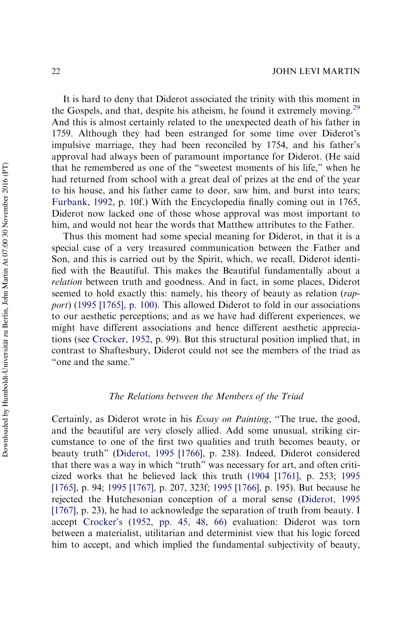It is hard to deny that Diderot associated the trinity with this moment in the Gospels, and that, despite his atheism, he found it extremely moving.<sup>[29](#page-43-5)</sup> And this is almost certainly related to the unexpected death of his father in 1759. Although they had been estranged for some time over Diderot's impulsive marriage, they had been reconciled by 1754, and his father's approval had always been of paramount importance for Diderot. (He said that he remembered as one of the "sweetest moments of his life," when he had returned from school with a great deal of prizes at the end of the year to his house, and his father came to door, saw him, and burst into tears; [Furbank, 1992,](#page-49-10) p. 10f.) With the Encyclopedia finally coming out in 1765, Diderot now lacked one of those whose approval was most important to him, and would not hear the words that Matthew attributes to the Father.

Thus this moment had some special meaning for Diderot, in that it is a special case of a very treasured communication between the Father and Son, and this is carried out by the Spirit, which, we recall, Diderot identified with the Beautiful. This makes the Beautiful fundamentally about a *relation* between truth and goodness. And in fact, in some places, Diderot seemed to hold exactly this: namely, his theory of beauty as relation (*rapport*) [\(1995 \[1765\], p. 100\).](#page-49-9) This allowed Diderot to fold in our associations to our aesthetic perceptions; and as we have had different experiences, we might have different associations and hence different aesthetic appreciations (see [Crocker, 1952,](#page-48-7) p. 99). But this structural position implied that, in contrast to Shaftesbury, Diderot could not see the members of the triad as "one and the same."

## *The Relations between the Members of the Triad*

Certainly, as Diderot wrote in his *Essay on Painting*, "The true, the good, and the beautiful are very closely allied. Add some unusual, striking circumstance to one of the first two qualities and truth becomes beauty, or beauty truth" [\(Diderot, 1995 \[1766\],](#page-49-11) p. 238). Indeed, Diderot considered that there was a way in which "truth" was necessary for art, and often criticized works that he believed lack this truth [\(1904 \[1761\],](#page-48-8) p. 253; [1995](#page-49-12) [\[1765\]](#page-49-12), p. 94; [1995 \[1767\],](#page-49-7) p. 207, 323f; [1995 \[1766\]](#page-49-11), p. 195). But because he rejected the Hutchesonian conception of a moral sense [\(Diderot, 1995](#page-49-7) [\[1767\]](#page-49-7), p. 23), he had to acknowledge the separation of truth from beauty. I accept [Crocker's \(1952, pp. 45, 48, 66\)](#page-48-7) evaluation: Diderot was torn between a materialist, utilitarian and determinist view that his logic forced him to accept, and which implied the fundamental subjectivity of beauty,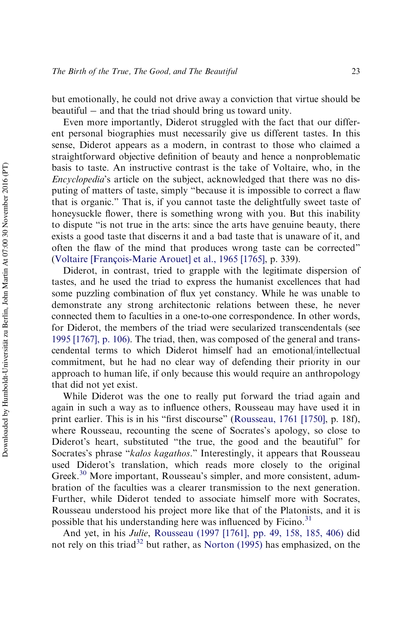but emotionally, he could not drive away a conviction that virtue should be  $beautiful - and that the triad should bring us toward unity.$ 

Even more importantly, Diderot struggled with the fact that our different personal biographies must necessarily give us different tastes. In this sense, Diderot appears as a modern, in contrast to those who claimed a straightforward objective definition of beauty and hence a nonproblematic basis to taste. An instructive contrast is the take of Voltaire, who, in the *Encyclopedia*'s article on the subject, acknowledged that there was no disputing of matters of taste, simply "because it is impossible to correct a flaw that is organic." That is, if you cannot taste the delightfully sweet taste of honeysuckle flower, there is something wrong with you. But this inability to dispute "is not true in the arts: since the arts have genuine beauty, there exists a good taste that discerns it and a bad taste that is unaware of it, and often the flaw of the mind that produces wrong taste can be corrected" (Voltaire [François-Marie Arouet] et al., 1965 [1765], p. 339).

Diderot, in contrast, tried to grapple with the legitimate dispersion of tastes, and he used the triad to express the humanist excellences that had some puzzling combination of flux yet constancy. While he was unable to demonstrate any strong architectonic relations between these, he never connected them to faculties in a one-to-one correspondence. In other words, for Diderot, the members of the triad were secularized transcendentals (see [1995 \[1767\], p. 106\).](#page-49-7) The triad, then, was composed of the general and transcendental terms to which Diderot himself had an emotional/intellectual commitment, but he had no clear way of defending their priority in our approach to human life, if only because this would require an anthropology that did not yet exist.

While Diderot was the one to really put forward the triad again and again in such a way as to influence others, Rousseau may have used it in print earlier. This is in his "first discourse" ([Rousseau, 1761 \[1750\]](#page-52-9), p. 18f), where Rousseau, recounting the scene of Socrates's apology, so close to Diderot's heart, substituted "the true, the good and the beautiful" for Socrates's phrase "*kalos kagathos*." Interestingly, it appears that Rousseau used Diderot's translation, which reads more closely to the original Greek.<sup>[30](#page-43-6)</sup> More important, Rousseau's simpler, and more consistent, adumbration of the faculties was a clearer transmission to the next generation. Further, while Diderot tended to associate himself more with Socrates, Rousseau understood his project more like that of the Platonists, and it is possible that his understanding here was influenced by Ficino.<sup>[31](#page-44-0)</sup>

And yet, in his *Julie*, [Rousseau \(1997 \[1761\], pp. 49, 158, 185, 406\)](#page-52-10) did not rely on this triad<sup>[32](#page-44-1)</sup> but rather, as [Norton \(1995\)](#page-51-0) has emphasized, on the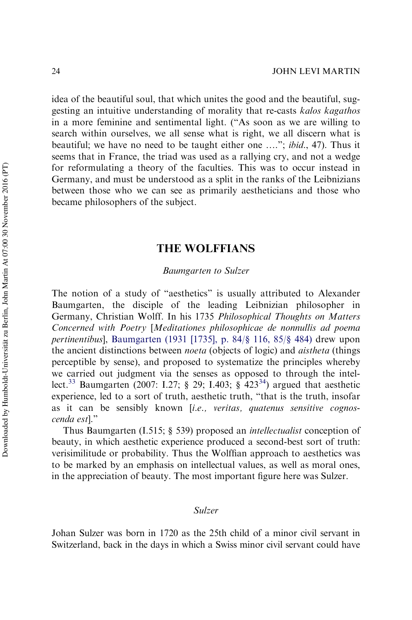idea of the beautiful soul, that which unites the good and the beautiful, suggesting an intuitive understanding of morality that re-casts *kalos kagathos* in a more feminine and sentimental light. ("As soon as we are willing to search within ourselves, we all sense what is right, we all discern what is beautiful; we have no need to be taught either one …."; *ibid*., 47). Thus it seems that in France, the triad was used as a rallying cry, and not a wedge for reformulating a theory of the faculties. This was to occur instead in Germany, and must be understood as a split in the ranks of the Leibnizians between those who we can see as primarily aestheticians and those who became philosophers of the subject.

# THE WOLFFIANS

## *Baumgarten to Sulzer*

The notion of a study of "aesthetics" is usually attributed to Alexander Baumgarten, the disciple of the leading Leibnizian philosopher in Germany, Christian Wolff. In his 1735 *Philosophical Thoughts on Matters Concerned with Poetry* [*Meditationes philosophicae de nonnullis ad poema pertinentibus*], [Baumgarten \(1931 \[1735\], p. 84/](#page-48-9)§ 116, 85/§ 484) drew upon the ancient distinctions between *noeta* (objects of logic) and *aistheta* (things perceptible by sense), and proposed to systematize the principles whereby we carried out judgment via the senses as opposed to through the intel-lect.<sup>[33](#page-44-2)</sup> Baumgarten (2007: I.27; § 29; I.403; §  $423^{34}$  $423^{34}$  $423^{34}$ ) argued that aesthetic experience, led to a sort of truth, aesthetic truth, "that is the truth, insofar as it can be sensibly known [*i.e., veritas, quatenus sensitive cognoscenda est*]."

Thus Baumgarten (I.515; § 539) proposed an *intellectualist* conception of beauty, in which aesthetic experience produced a second-best sort of truth: verisimilitude or probability. Thus the Wolffian approach to aesthetics was to be marked by an emphasis on intellectual values, as well as moral ones, in the appreciation of beauty. The most important figure here was Sulzer.

## *Sulzer*

Johan Sulzer was born in 1720 as the 25th child of a minor civil servant in Switzerland, back in the days in which a Swiss minor civil servant could have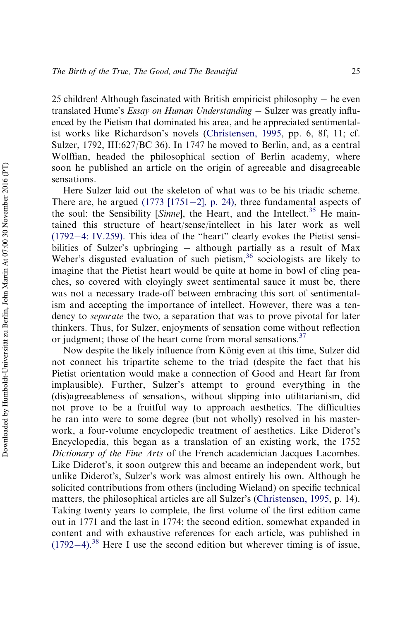25 children! Although fascinated with British empiricist philosophy  $-$  he even translated Hume's *Essay on Human Understanding* – Sulzer was greatly influenced by the Pietism that dominated his area, and he appreciated sentimentalist works like Richardson's novels ([Christensen, 1995](#page-48-10), pp. 6, 8f, 11; cf. Sulzer, 1792, III:627/BC 36). In 1747 he moved to Berlin, and, as a central Wolffian, headed the philosophical section of Berlin academy, where soon he published an article on the origin of agreeable and disagreeable sensations.

Here Sulzer laid out the skeleton of what was to be his triadic scheme. There are, he argued  $(1773 [1751-2]$  $(1773 [1751-2]$ , p. 24), three fundamental aspects of the soul: the Sensibility [Sinne], the Heart, and the Intellect.<sup>[35](#page-44-4)</sup> He maintained this structure of heart/sense/intellect in his later work as well  $(1792-4: IV.259)$  $(1792-4: IV.259)$  $(1792-4: IV.259)$ . This idea of the "heart" clearly evokes the Pietist sensibilities of Sulzer's upbringing  $-$  although partially as a result of Max Weber's disgusted evaluation of such pietism,  $36$  sociologists are likely to imagine that the Pietist heart would be quite at home in bowl of cling peaches, so covered with cloyingly sweet sentimental sauce it must be, there was not a necessary trade-off between embracing this sort of sentimentalism and accepting the importance of intellect. However, there was a tendency to *separate* the two, a separation that was to prove pivotal for later thinkers. Thus, for Sulzer, enjoyments of sensation come without reflection or judgment; those of the heart come from moral sensations.<sup>[37](#page-44-6)</sup>

Now despite the likely influence from König even at this time, Sulzer did not connect his tripartite scheme to the triad (despite the fact that his Pietist orientation would make a connection of Good and Heart far from implausible). Further, Sulzer's attempt to ground everything in the (dis)agreeableness of sensations, without slipping into utilitarianism, did not prove to be a fruitful way to approach aesthetics. The difficulties he ran into were to some degree (but not wholly) resolved in his masterwork, a four-volume encyclopedic treatment of aesthetics. Like Diderot's Encyclopedia, this began as a translation of an existing work, the 1752 *Dictionary of the Fine Arts* of the French academician Jacques Lacombes. Like Diderot's, it soon outgrew this and became an independent work, but unlike Diderot's, Sulzer's work was almost entirely his own. Although he solicited contributions from others (including Wieland) on specific technical matters, the philosophical articles are all Sulzer's ([Christensen, 1995](#page-48-10), p. 14). Taking twenty years to complete, the first volume of the first edition came out in 1771 and the last in 1774; the second edition, somewhat expanded in content and with exhaustive references for each article, was published in  $(1792-4).$  $(1792-4).$  $(1792-4).$  $(1792-4).$ <sup>[38](#page-44-7)</sup> Here I use the second edition but wherever timing is of issue,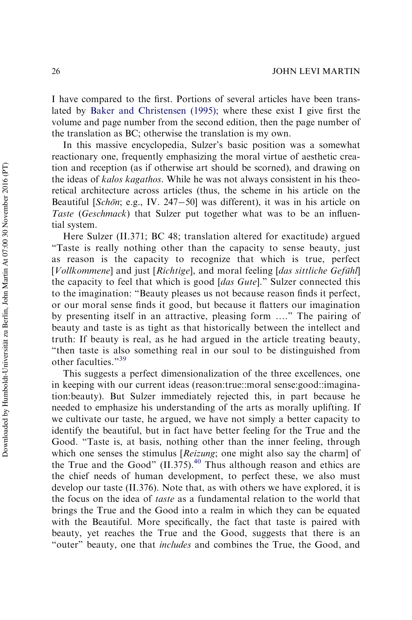I have compared to the first. Portions of several articles have been translated by [Baker and Christensen \(1995\);](#page-48-11) where these exist I give first the volume and page number from the second edition, then the page number of the translation as BC; otherwise the translation is my own.

In this massive encyclopedia, Sulzer's basic position was a somewhat reactionary one, frequently emphasizing the moral virtue of aesthetic creation and reception (as if otherwise art should be scorned), and drawing on the ideas of *kalos kagathos.* While he was not always consistent in his theoretical architecture across articles (thus, the scheme in his article on the Beautiful [*Schön*; e.g., IV. 247–50] was different), it was in his article on *Taste* (*Geschmack*) that Sulzer put together what was to be an influential system.

Here Sulzer (II.371; BC 48; translation altered for exactitude) argued "Taste is really nothing other than the capacity to sense beauty, just as reason is the capacity to recognize that which is true, perfect [*Vollkommene*] and just [*Richtige*], and moral feeling [*das sittliche Gefühl*] the capacity to feel that which is good [*das Gute*]." Sulzer connected this to the imagination: "Beauty pleases us not because reason finds it perfect, or our moral sense finds it good, but because it flatters our imagination by presenting itself in an attractive, pleasing form …." The pairing of beauty and taste is as tight as that historically between the intellect and truth: If beauty is real, as he had argued in the article treating beauty, "then taste is also something real in our soul to be distinguished from other faculties."<sup>[39](#page-44-8)</sup>

This suggests a perfect dimensionalization of the three excellences, one in keeping with our current ideas (reason:true::moral sense:good::imagination:beauty). But Sulzer immediately rejected this, in part because he needed to emphasize his understanding of the arts as morally uplifting. If we cultivate our taste, he argued, we have not simply a better capacity to identify the beautiful, but in fact have better feeling for the True and the Good. "Taste is, at basis, nothing other than the inner feeling, through which one senses the stimulus [*Reizung*; one might also say the charm] of the True and the Good"  $(II.375)$ .<sup>[40](#page-44-9)</sup> Thus although reason and ethics are the chief needs of human development, to perfect these, we also must develop our taste (II.376). Note that, as with others we have explored, it is the focus on the idea of *taste* as a fundamental relation to the world that brings the True and the Good into a realm in which they can be equated with the Beautiful. More specifically, the fact that taste is paired with beauty, yet reaches the True and the Good, suggests that there is an "outer" beauty, one that *includes* and combines the True, the Good, and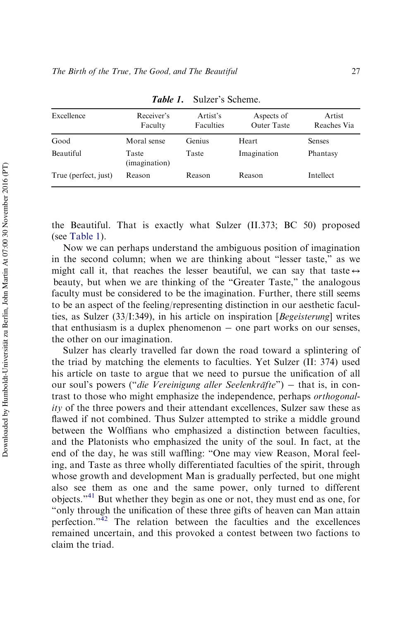| Excellence           | Receiver's<br>Faculty  | Artist's<br>Faculties | Aspects of<br><b>Outer Taste</b> | Artist<br>Reaches Via |
|----------------------|------------------------|-----------------------|----------------------------------|-----------------------|
| Good                 | Moral sense            | Genius                | Heart                            | <b>Senses</b>         |
| <b>Beautiful</b>     | Taste<br>(imagination) | Taste                 | Imagination                      | Phantasy              |
| True (perfect, just) | Reason                 | Reason                | Reason                           | Intellect             |

Table 1. Sulzer's Scheme.

<span id="page-24-0"></span>the Beautiful. That is exactly what Sulzer (II.373; BC 50) proposed (see [Table 1](#page-24-0)).

Now we can perhaps understand the ambiguous position of imagination in the second column; when we are thinking about "lesser taste," as we might call it, that reaches the lesser beautiful, we can say that taste  $\leftrightarrow$ beauty, but when we are thinking of the "Greater Taste," the analogous faculty must be considered to be the imagination. Further, there still seems to be an aspect of the feeling/representing distinction in our aesthetic faculties, as Sulzer (33/I:349), in his article on inspiration [*Begeisterung*] writes that enthusiasm is a duplex phenomenon  $-$  one part works on our senses, the other on our imagination.

Sulzer has clearly travelled far down the road toward a splintering of the triad by matching the elements to faculties. Yet Sulzer (II: 374) used his article on taste to argue that we need to pursue the unification of all our soul's powers ("*die Vereinigung aller Seelenkräfte*") – that is, in contrast to those who might emphasize the independence, perhaps *orthogonality* of the three powers and their attendant excellences, Sulzer saw these as flawed if not combined. Thus Sulzer attempted to strike a middle ground between the Wolffians who emphasized a distinction between faculties, and the Platonists who emphasized the unity of the soul. In fact, at the end of the day, he was still waffling: "One may view Reason, Moral feeling, and Taste as three wholly differentiated faculties of the spirit, through whose growth and development Man is gradually perfected, but one might also see them as one and the same power, only turned to different objects."[41](#page-45-0) But whether they begin as one or not, they must end as one, for "only through the unification of these three gifts of heaven can Man attain perfection."[42](#page-45-1) The relation between the faculties and the excellences remained uncertain, and this provoked a contest between two factions to claim the triad.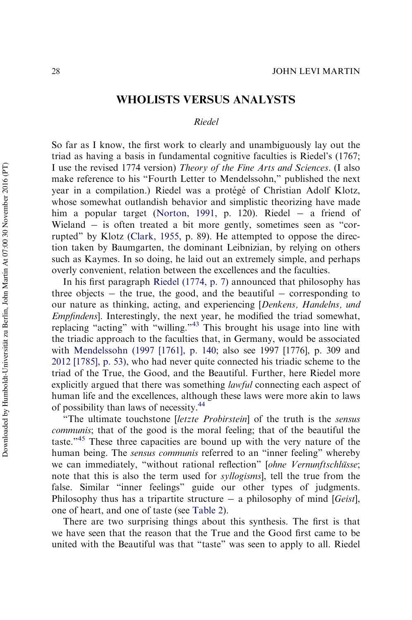# WHOLISTS VERSUS ANALYSTS

## *Riedel*

So far as I know, the first work to clearly and unambiguously lay out the triad as having a basis in fundamental cognitive faculties is Riedel's (1767; I use the revised 1774 version) *Theory of the Fine Arts and Sciences*. (I also make reference to his "Fourth Letter to Mendelssohn," published the next year in a compilation.) Riedel was a protégé of Christian Adolf Klotz, whose somewhat outlandish behavior and simplistic theorizing have made him a popular target ([Norton, 1991,](#page-51-9) p. 120). Riedel – a friend of Wieland  $-$  is often treated a bit more gently, sometimes seen as "corrupted" by Klotz ([Clark, 1955](#page-48-12), p. 89). He attempted to oppose the direction taken by Baumgarten, the dominant Leibnizian, by relying on others such as Kaymes. In so doing, he laid out an extremely simple, and perhaps overly convenient, relation between the excellences and the faculties.

In his first paragraph [Riedel \(1774, p. 7\)](#page-52-13) announced that philosophy has three objects  $-$  the true, the good, and the beautiful  $-$  corresponding to our nature as thinking, acting, and experiencing [*Denkens, Handelns, und Empfindens*]. Interestingly, the next year, he modified the triad somewhat, replacing "acting" with "willing."[43](#page-45-2) This brought his usage into line with the triadic approach to the faculties that, in Germany, would be associated with [Mendelssohn \(1997 \[1761\], p. 140](#page-51-10); also see 1997 [1776], p. 309 and [2012 \[1785\], p. 53\)](#page-51-11), who had never quite connected his triadic scheme to the triad of the True, the Good, and the Beautiful. Further, here Riedel more explicitly argued that there was something *lawful* connecting each aspect of human life and the excellences, although these laws were more akin to laws of possibility than laws of necessity.[44](#page-45-3)

"The ultimate touchstone [*letzte Probirstein*] of the truth is the *sensus communis*; that of the good is the moral feeling; that of the beautiful the taste."[45](#page-45-4) These three capacities are bound up with the very nature of the human being. The *sensus communis* referred to an "inner feeling" whereby we can immediately, "without rational reflection" [*ohne Vernunftschlüsse*; note that this is also the term used for *syllogisms*], tell the true from the false. Similar "inner feelings" guide our other types of judgments. Philosophy thus has a tripartite structure a philosophy of mind [*Geist*], one of heart, and one of taste (see [Table 2](#page-26-0)).

There are two surprising things about this synthesis. The first is that we have seen that the reason that the True and the Good first came to be united with the Beautiful was that "taste" was seen to apply to all. Riedel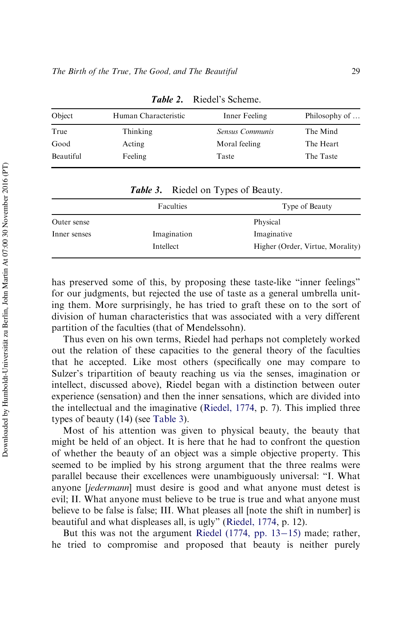| Object    | Human Characteristic | Inner Feeling   | Philosophy of |
|-----------|----------------------|-----------------|---------------|
| True      | Thinking             | Sensus Communis | The Mind      |
| Good      | Acting               | Moral feeling   | The Heart     |
| Beautiful | Feeling              | Taste           | The Taste     |

Table 2. Riedel's Scheme.

<span id="page-26-0"></span>

|              | Faculties   | Type of Beauty                   |  |  |
|--------------|-------------|----------------------------------|--|--|
| Outer sense  |             | Physical                         |  |  |
| Inner senses | Imagination | Imaginative                      |  |  |
|              | Intellect   | Higher (Order, Virtue, Morality) |  |  |

**Table 3.** Riedel on Types of Beauty.

<span id="page-26-1"></span>has preserved some of this, by proposing these taste-like "inner feelings" for our judgments, but rejected the use of taste as a general umbrella uniting them. More surprisingly, he has tried to graft these on to the sort of division of human characteristics that was associated with a very different partition of the faculties (that of Mendelssohn).

Thus even on his own terms, Riedel had perhaps not completely worked out the relation of these capacities to the general theory of the faculties that he accepted. Like most others (specifically one may compare to Sulzer's tripartition of beauty reaching us via the senses, imagination or intellect, discussed above), Riedel began with a distinction between outer experience (sensation) and then the inner sensations, which are divided into the intellectual and the imaginative ([Riedel, 1774](#page-52-13), p. 7). This implied three types of beauty (14) (see [Table 3](#page-26-1)).

Most of his attention was given to physical beauty, the beauty that might be held of an object. It is here that he had to confront the question of whether the beauty of an object was a simple objective property. This seemed to be implied by his strong argument that the three realms were parallel because their excellences were unambiguously universal: "I. What anyone [*jedermann*] must desire is good and what anyone must detest is evil; II. What anyone must believe to be true is true and what anyone must believe to be false is false; III. What pleases all [note the shift in number] is beautiful and what displeases all, is ugly" [\(Riedel, 1774](#page-52-13), p. 12).

But this was not the argument Riedel  $(1774, pp. 13-15)$  $(1774, pp. 13-15)$  made; rather, he tried to compromise and proposed that beauty is neither purely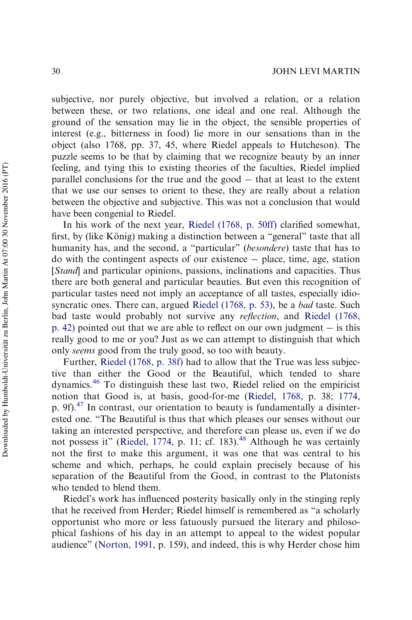subjective, nor purely objective, but involved a relation, or a relation between these, or two relations, one ideal and one real. Although the ground of the sensation may lie in the object, the sensible properties of interest (e.g., bitterness in food) lie more in our sensations than in the object (also 1768, pp. 37, 45, where Riedel appeals to Hutcheson). The puzzle seems to be that by claiming that we recognize beauty by an inner feeling, and tying this to existing theories of the faculties, Riedel implied parallel conclusions for the true and the good  $-$  that at least to the extent that we use our senses to orient to these, they are really about a relation between the objective and subjective. This was not a conclusion that would have been congenial to Riedel.

In his work of the next year, [Riedel \(1768, p. 50ff\)](#page-52-14) clarified somewhat, first, by (like König) making a distinction between a "general" taste that all humanity has, and the second, a "particular" (*besondere*) taste that has to  $\phi$  do with the contingent aspects of our existence  $-$  place, time, age, station [*Stand*] and particular opinions, passions, inclinations and capacities. Thus there are both general and particular beauties. But even this recognition of particular tastes need not imply an acceptance of all tastes, especially idiosyncratic ones. There can, argued [Riedel \(1768, p. 53\)](#page-52-14), be a *bad* taste. Such bad taste would probably not survive any *reflection*, and [Riedel \(1768,](#page-52-14) [p. 42\)](#page-52-14) pointed out that we are able to reflect on our own judgment  $-$  is this really good to me or you? Just as we can attempt to distinguish that which only *seems* good from the truly good, so too with beauty.

Further, [Riedel \(1768, p. 38f\)](#page-52-14) had to allow that the True was less subjective than either the Good or the Beautiful, which tended to share dynamics.[46](#page-45-5) To distinguish these last two, Riedel relied on the empiricist notion that Good is, at basis, good-for-me [\(Riedel, 1768,](#page-52-14) p. 38; [1774](#page-52-13), p. 9f).[47](#page-45-6) In contrast, our orientation to beauty is fundamentally a disinterested one. "The Beautiful is thus that which pleases our senses without our taking an interested perspective, and therefore can please us, even if we do not possess it" [\(Riedel, 1774](#page-52-13), p. 11; cf. 183).<sup>[48](#page-45-7)</sup> Although he was certainly not the first to make this argument, it was one that was central to his scheme and which, perhaps, he could explain precisely because of his separation of the Beautiful from the Good, in contrast to the Platonists who tended to blend them.

Riedel's work has influenced posterity basically only in the stinging reply that he received from Herder; Riedel himself is remembered as "a scholarly opportunist who more or less fatuously pursued the literary and philosophical fashions of his day in an attempt to appeal to the widest popular audience" [\(Norton, 1991,](#page-51-9) p. 159), and indeed, this is why Herder chose him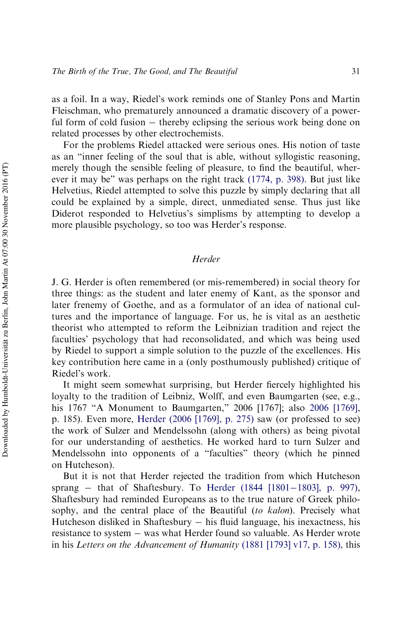as a foil. In a way, Riedel's work reminds one of Stanley Pons and Martin Fleischman, who prematurely announced a dramatic discovery of a powerful form of cold fusion  $-$  thereby eclipsing the serious work being done on related processes by other electrochemists.

For the problems Riedel attacked were serious ones. His notion of taste as an "inner feeling of the soul that is able, without syllogistic reasoning, merely though the sensible feeling of pleasure, to find the beautiful, wherever it may be" was perhaps on the right track [\(1774, p. 398\)](#page-52-13). But just like Helvetius, Riedel attempted to solve this puzzle by simply declaring that all could be explained by a simple, direct, unmediated sense. Thus just like Diderot responded to Helvetius's simplisms by attempting to develop a more plausible psychology, so too was Herder's response.

## *Herder*

J. G. Herder is often remembered (or mis-remembered) in social theory for three things: as the student and later enemy of Kant, as the sponsor and later frenemy of Goethe, and as a formulator of an idea of national cultures and the importance of language. For us, he is vital as an aesthetic theorist who attempted to reform the Leibnizian tradition and reject the faculties' psychology that had reconsolidated, and which was being used by Riedel to support a simple solution to the puzzle of the excellences. His key contribution here came in a (only posthumously published) critique of Riedel's work.

It might seem somewhat surprising, but Herder fiercely highlighted his loyalty to the tradition of Leibniz, Wolff, and even Baumgarten (see, e.g., his 1767 "A Monument to Baumgarten," 2006 [1767]; also [2006 \[1769\]](#page-50-3), p. 185). Even more, [Herder \(2006 \[1769\], p. 275\)](#page-50-3) saw (or professed to see) the work of Sulzer and Mendelssohn (along with others) as being pivotal for our understanding of aesthetics. He worked hard to turn Sulzer and Mendelssohn into opponents of a "faculties" theory (which he pinned on Hutcheson).

But it is not that Herder rejected the tradition from which Hutcheson sprang – that of Shaftesbury. To Herder (1844  $[1801-1803]$ , p. 997), Shaftesbury had reminded Europeans as to the true nature of Greek philosophy, and the central place of the Beautiful (*to kalon*). Precisely what Hutcheson disliked in Shaftesbury  $-$  his fluid language, his inexactness, his resistance to system – was what Herder found so valuable. As Herder wrote in his *Letters on the Advancement of Humanity* [\(1881 \[1793\] v17, p. 158\)](#page-50-5), this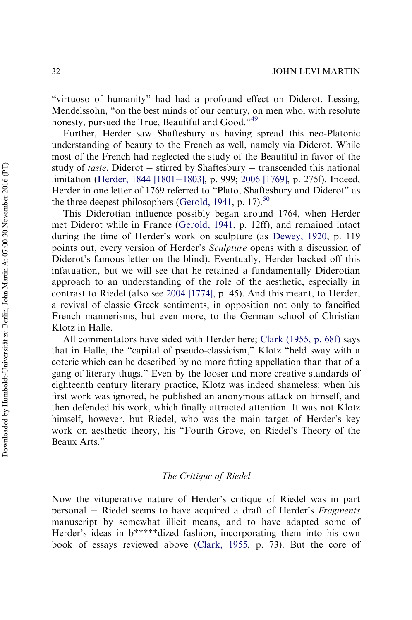"virtuoso of humanity" had had a profound effect on Diderot, Lessing, Mendelssohn, "on the best minds of our century, on men who, with resolute honesty, pursued the True, Beautiful and Good."<sup>[49](#page-45-8)</sup>

Further, Herder saw Shaftesbury as having spread this neo-Platonic understanding of beauty to the French as well, namely via Diderot. While most of the French had neglected the study of the Beautiful in favor of the study of *taste*, Diderot – stirred by Shaftesbury – transcended this national limitation ([Herder, 1844 \[1801](#page-50-4)–[1803\],](#page-50-4) p. 999; [2006 \[1769\]](#page-50-3), p. 275f). Indeed, Herder in one letter of 1769 referred to "Plato, Shaftesbury and Diderot" as the three deepest philosophers [\(Gerold, 1941](#page-49-13), p. 17).<sup>[50](#page-45-9)</sup>

This Diderotian influence possibly began around 1764, when Herder met Diderot while in France ([Gerold, 1941,](#page-49-13) p. 12ff), and remained intact during the time of Herder's work on sculpture (as [Dewey, 1920,](#page-48-6) p. 119 points out, every version of Herder's *Sculpture* opens with a discussion of Diderot's famous letter on the blind). Eventually, Herder backed off this infatuation, but we will see that he retained a fundamentally Diderotian approach to an understanding of the role of the aesthetic, especially in contrast to Riedel (also see [2004 \[1774\],](#page-50-6) p. 45). And this meant, to Herder, a revival of classic Greek sentiments, in opposition not only to fancified French mannerisms, but even more, to the German school of Christian Klotz in Halle.

All commentators have sided with Herder here; [Clark \(1955, p. 68f\)](#page-48-12) says that in Halle, the "capital of pseudo-classicism," Klotz "held sway with a coterie which can be described by no more fitting appellation than that of a gang of literary thugs." Even by the looser and more creative standards of eighteenth century literary practice, Klotz was indeed shameless: when his first work was ignored, he published an anonymous attack on himself, and then defended his work, which finally attracted attention. It was not Klotz himself, however, but Riedel, who was the main target of Herder's key work on aesthetic theory, his "Fourth Grove, on Riedel's Theory of the Beaux Arts."

### *The Critique of Riedel*

Now the vituperative nature of Herder's critique of Riedel was in part personal Riedel seems to have acquired a draft of Herder's *Fragments* manuscript by somewhat illicit means, and to have adapted some of Herder's ideas in b\*\*\*\*\*dized fashion, incorporating them into his own book of essays reviewed above [\(Clark, 1955,](#page-48-12) p. 73). But the core of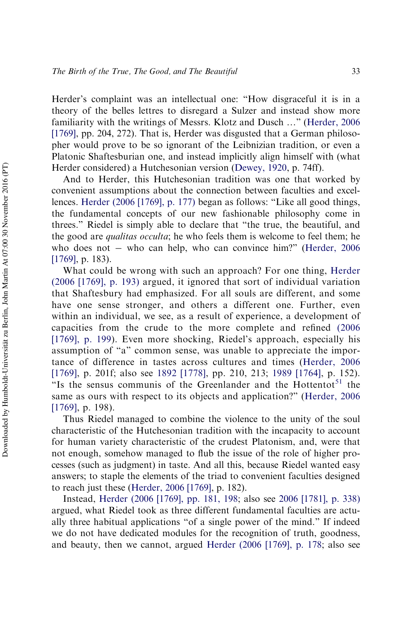Herder's complaint was an intellectual one: "How disgraceful it is in a theory of the belles lettres to disregard a Sulzer and instead show more familiarity with the writings of Messrs. Klotz and Dusch …" [\(Herder, 2006](#page-50-3) [\[1769\]](#page-50-3), pp. 204, 272). That is, Herder was disgusted that a German philosopher would prove to be so ignorant of the Leibnizian tradition, or even a Platonic Shaftesburian one, and instead implicitly align himself with (what Herder considered) a Hutchesonian version [\(Dewey, 1920](#page-48-6), p. 74ff).

And to Herder, this Hutchesonian tradition was one that worked by convenient assumptions about the connection between faculties and excellences. [Herder \(2006 \[1769\], p. 177\)](#page-50-3) began as follows: "Like all good things, the fundamental concepts of our new fashionable philosophy come in threes." Riedel is simply able to declare that "the true, the beautiful, and the good are *qualitas occulta*; he who feels them is welcome to feel them; he who does not  $-$  who can help, who can convince him?" [\(Herder, 2006](#page-50-3)) [\[1769\]](#page-50-3), p. 183).

What could be wrong with such an approach? For one thing, [Herder](#page-50-3) [\(2006 \[1769\], p. 193\)](#page-50-3) argued, it ignored that sort of individual variation that Shaftesbury had emphasized. For all souls are different, and some have one sense stronger, and others a different one. Further, even within an individual, we see, as a result of experience, a development of capacities from the crude to the more complete and refined [\(2006](#page-50-3) [\[1769\], p. 199\)](#page-50-3). Even more shocking, Riedel's approach, especially his assumption of "a" common sense, was unable to appreciate the importance of difference in tastes across cultures and times ([Herder, 2006](#page-50-3) [\[1769\],](#page-50-3) p. 201f; also see [1892 \[1778\]](#page-50-7), pp. 210, 213; [1989 \[1764\],](#page-50-8) p. 152). "Is the sensus communis of the Greenlander and the Hottentot $51$  the same as ours with respect to its objects and application?" ([Herder, 2006](#page-50-3) [\[1769\],](#page-50-3) p. 198).

Thus Riedel managed to combine the violence to the unity of the soul characteristic of the Hutchesonian tradition with the incapacity to account for human variety characteristic of the crudest Platonism, and, were that not enough, somehow managed to flub the issue of the role of higher processes (such as judgment) in taste. And all this, because Riedel wanted easy answers; to staple the elements of the triad to convenient faculties designed to reach just these [\(Herder, 2006 \[1769\]](#page-50-3), p. 182).

Instead, [Herder \(2006 \[1769\], pp. 181, 198;](#page-50-3) also see [2006 \[1781\], p. 338\)](#page-51-12) argued, what Riedel took as three different fundamental faculties are actually three habitual applications "of a single power of the mind." If indeed we do not have dedicated modules for the recognition of truth, goodness, and beauty, then we cannot, argued [Herder \(2006 \[1769\], p. 178;](#page-50-3) also see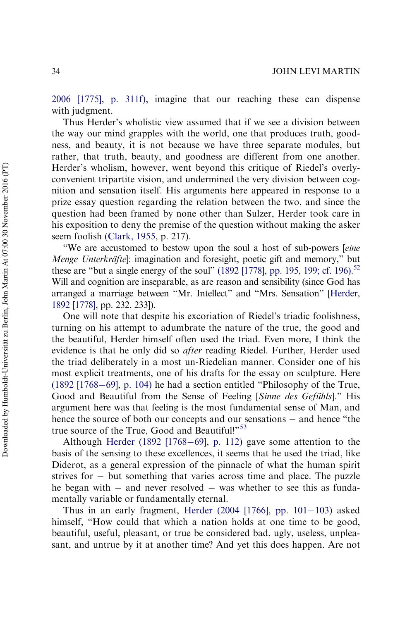[2006 \[1775\], p. 311f\)](#page-50-9), imagine that our reaching these can dispense with judgment.

Thus Herder's wholistic view assumed that if we see a division between the way our mind grapples with the world, one that produces truth, goodness, and beauty, it is not because we have three separate modules, but rather, that truth, beauty, and goodness are different from one another. Herder's wholism, however, went beyond this critique of Riedel's overlyconvenient tripartite vision, and undermined the very division between cognition and sensation itself. His arguments here appeared in response to a prize essay question regarding the relation between the two, and since the question had been framed by none other than Sulzer, Herder took care in his exposition to deny the premise of the question without making the asker seem foolish ([Clark, 1955,](#page-48-12) p. 217).

"We are accustomed to bestow upon the soul a host of sub-powers [*eine Menge Unterkräfte*]: imagination and foresight, poetic gift and memory," but these are "but a single energy of the soul" [\(1892 \[1778\], pp. 195, 199; cf. 196\)](#page-50-7).<sup>[52](#page-45-11)</sup> Will and cognition are inseparable, as are reason and sensibility (since God has arranged a marriage between "Mr. Intellect" and "Mrs. Sensation" [\[Herder,](#page-50-7) [1892 \[1778\],](#page-50-7) pp. 232, 233]).

One will note that despite his excoriation of Riedel's triadic foolishness, turning on his attempt to adumbrate the nature of the true, the good and the beautiful, Herder himself often used the triad. Even more, I think the evidence is that he only did so *after* reading Riedel. Further, Herder used the triad deliberately in a most un-Riedelian manner. Consider one of his most explicit treatments, one of his drafts for the essay on sculpture. Here (1892  $[1768-69]$ , p. 104) he had a section entitled "Philosophy of the True, Good and Beautiful from the Sense of Feeling [Sinne des Gefühls]." His argument here was that feeling is the most fundamental sense of Man, and hence the source of both our concepts and our sensations  $-$  and hence "the true source of the True, Good and Beautiful!"<sup>[53](#page-46-0)</sup>

Although [Herder \(1892 \[1768](#page-50-10)-[69\], p. 112\)](#page-50-10) gave some attention to the basis of the sensing to these excellences, it seems that he used the triad, like Diderot, as a general expression of the pinnacle of what the human spirit strives for  $-$  but something that varies across time and place. The puzzle he began with  $-$  and never resolved  $-$  was whether to see this as fundamentally variable or fundamentally eternal.

Thus in an early fragment, Herder  $(2004 \mid 1766]$ , pp.  $101-103$ ) asked himself, "How could that which a nation holds at one time to be good, beautiful, useful, pleasant, or true be considered bad, ugly, useless, unpleasant, and untrue by it at another time? And yet this does happen. Are not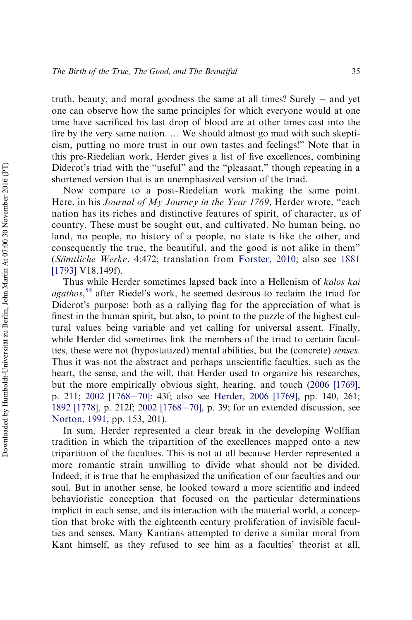truth, beauty, and moral goodness the same at all times? Surely  $-$  and yet one can observe how the same principles for which everyone would at one time have sacrificed his last drop of blood are at other times cast into the fire by the very same nation. … We should almost go mad with such skepticism, putting no more trust in our own tastes and feelings!" Note that in this pre-Riedelian work, Herder gives a list of five excellences, combining Diderot's triad with the "useful" and the "pleasant," though repeating in a shortened version that is an unemphasized version of the triad.

Now compare to a post-Riedelian work making the same point. Here, in his *Journal of My Journey in the Year 1769*, Herder wrote, "each nation has its riches and distinctive features of spirit, of character, as of country. These must be sought out, and cultivated. No human being, no land, no people, no history of a people, no state is like the other, and consequently the true, the beautiful, and the good is not alike in them" (*Sa¨mtliche Werke*, 4:472; translation from [Forster, 2010;](#page-49-14) also see [1881](#page-50-5) [\[1793\]](#page-50-5) V18.149f).

Thus while Herder sometimes lapsed back into a Hellenism of *kalos kai agathos*, [54](#page-46-1) after Riedel's work, he seemed desirous to reclaim the triad for Diderot's purpose: both as a rallying flag for the appreciation of what is finest in the human spirit, but also, to point to the puzzle of the highest cultural values being variable and yet calling for universal assent. Finally, while Herder did sometimes link the members of the triad to certain faculties, these were not (hypostatized) mental abilities, but the (concrete) *senses*. Thus it was not the abstract and perhaps unscientific faculties, such as the heart, the sense, and the will, that Herder used to organize his researches, but the more empirically obvious sight, hearing, and touch [\(2006 \[1769\]](#page-50-3), p. 211; [2002 \[1768](#page-50-12)-[70\]:](#page-50-12) 43f; also see [Herder, 2006 \[1769\]](#page-50-3), pp. 140, 261; [1892 \[1778\],](#page-50-7) p. 212f; [2002 \[1768](#page-50-12)–[70\],](#page-50-12) p. 39; for an extended discussion, see [Norton, 1991](#page-51-9), pp. 153, 201).

In sum, Herder represented a clear break in the developing Wolffian tradition in which the tripartition of the excellences mapped onto a new tripartition of the faculties. This is not at all because Herder represented a more romantic strain unwilling to divide what should not be divided. Indeed, it is true that he emphasized the unification of our faculties and our soul. But in another sense, he looked toward a more scientific and indeed behavioristic conception that focused on the particular determinations implicit in each sense, and its interaction with the material world, a conception that broke with the eighteenth century proliferation of invisible faculties and senses. Many Kantians attempted to derive a similar moral from Kant himself, as they refused to see him as a faculties' theorist at all,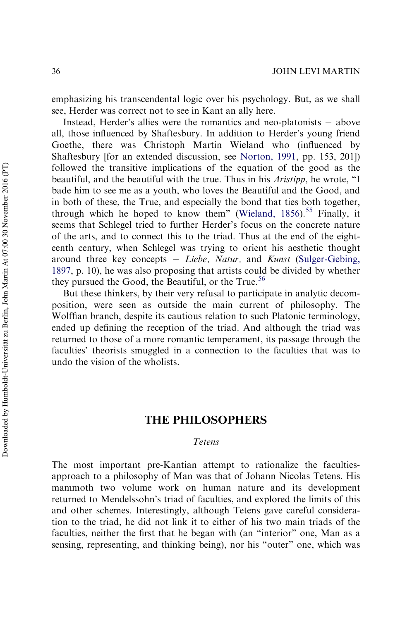emphasizing his transcendental logic over his psychology. But, as we shall see, Herder was correct not to see in Kant an ally here.

Instead, Herder's allies were the romantics and neo-platonists  $-$  above all, those influenced by Shaftesbury. In addition to Herder's young friend Goethe, there was Christoph Martin Wieland who (influenced by Shaftesbury [for an extended discussion, see [Norton, 1991,](#page-51-9) pp. 153, 201]) followed the transitive implications of the equation of the good as the beautiful, and the beautiful with the true. Thus in his *Aristipp*, he wrote, "I bade him to see me as a youth, who loves the Beautiful and the Good, and in both of these, the True, and especially the bond that ties both together, through which he hoped to know them" (Wieland,  $1856$ ).<sup>[55](#page-46-2)</sup> Finally, it seems that Schlegel tried to further Herder's focus on the concrete nature of the arts, and to connect this to the triad. Thus at the end of the eighteenth century, when Schlegel was trying to orient his aesthetic thought around three key concepts *Liebe, Natur,* and *Kunst* ([Sulger-Gebing,](#page-52-15) [1897,](#page-52-15) p. 10), he was also proposing that artists could be divided by whether they pursued the Good, the Beautiful, or the True.<sup>[56](#page-46-3)</sup>

But these thinkers, by their very refusal to participate in analytic decomposition, were seen as outside the main current of philosophy. The Wolffian branch, despite its cautious relation to such Platonic terminology, ended up defining the reception of the triad. And although the triad was returned to those of a more romantic temperament, its passage through the faculties' theorists smuggled in a connection to the faculties that was to undo the vision of the wholists.

# THE PHILOSOPHERS

## *Tetens*

The most important pre-Kantian attempt to rationalize the facultiesapproach to a philosophy of Man was that of Johann Nicolas Tetens. His mammoth two volume work on human nature and its development returned to Mendelssohn's triad of faculties, and explored the limits of this and other schemes. Interestingly, although Tetens gave careful consideration to the triad, he did not link it to either of his two main triads of the faculties, neither the first that he began with (an "interior" one, Man as a sensing, representing, and thinking being), nor his "outer" one, which was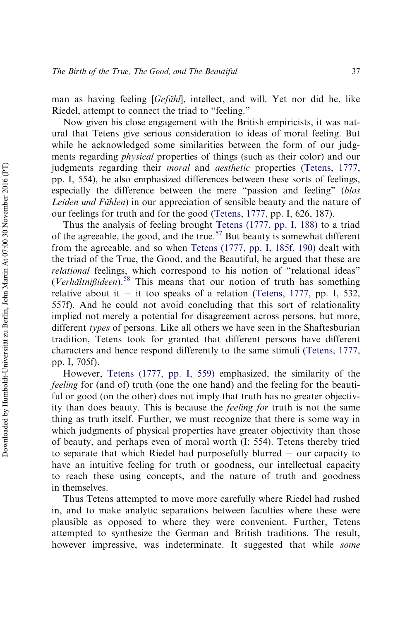man as having feeling [*Gefuhl*], intellect, and will. Yet nor did he, like Riedel, attempt to connect the triad to "feeling."

Now given his close engagement with the British empiricists, it was natural that Tetens give serious consideration to ideas of moral feeling. But while he acknowledged some similarities between the form of our judgments regarding *physical* properties of things (such as their color) and our judgments regarding their *moral* and *aesthetic* properties [\(Tetens, 1777](#page-52-16), pp. I, 554), he also emphasized differences between these sorts of feelings, especially the difference between the mere "passion and feeling" (*blos Leiden und Fühlen*) in our appreciation of sensible beauty and the nature of our feelings for truth and for the good ([Tetens, 1777,](#page-52-16) pp. I, 626, 187).

Thus the analysis of feeling brought [Tetens \(1777, pp. I, 188\)](#page-52-16) to a triad of the agreeable, the good, and the true.<sup>[57](#page-46-4)</sup> But beauty is somewhat different from the agreeable, and so when [Tetens \(1777, pp. I, 185f, 190\)](#page-52-16) dealt with the triad of the True, the Good, and the Beautiful, he argued that these are *relational* feelings, which correspond to his notion of "relational ideas" (*Verha¨ltni*ß*ideen*).[58](#page-46-5) This means that our notion of truth has something relative about it  $-$  it too speaks of a relation [\(Tetens, 1777,](#page-52-16) pp. I, 532, 557f). And he could not avoid concluding that this sort of relationality implied not merely a potential for disagreement across persons, but more, different *types* of persons. Like all others we have seen in the Shaftesburian tradition, Tetens took for granted that different persons have different characters and hence respond differently to the same stimuli [\(Tetens, 1777](#page-52-16), pp. I, 705f).

However, [Tetens \(1777, pp. I, 559\)](#page-52-16) emphasized, the similarity of the *feeling* for (and of) truth (one the one hand) and the feeling for the beautiful or good (on the other) does not imply that truth has no greater objectivity than does beauty. This is because the *feeling for* truth is not the same thing as truth itself. Further, we must recognize that there is some way in which judgments of physical properties have greater objectivity than those of beauty, and perhaps even of moral worth (I: 554). Tetens thereby tried to separate that which Riedel had purposefully blurred  $-$  our capacity to have an intuitive feeling for truth or goodness, our intellectual capacity to reach these using concepts, and the nature of truth and goodness in themselves.

Thus Tetens attempted to move more carefully where Riedel had rushed in, and to make analytic separations between faculties where these were plausible as opposed to where they were convenient. Further, Tetens attempted to synthesize the German and British traditions. The result, however impressive, was indeterminate. It suggested that while *some*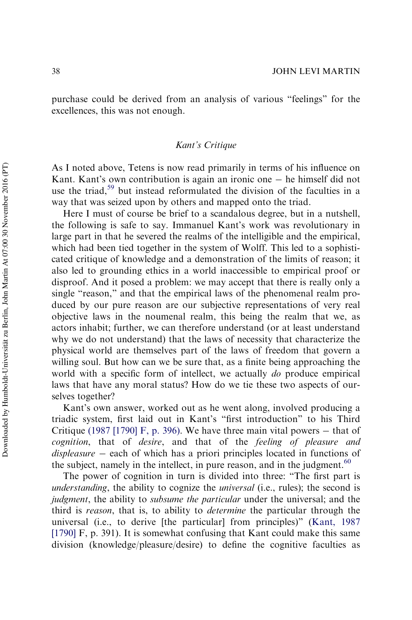purchase could be derived from an analysis of various "feelings" for the excellences, this was not enough.

## *Kant's Critique*

As I noted above, Tetens is now read primarily in terms of his influence on Kant. Kant's own contribution is again an ironic one  $-$  he himself did not use the triad,<sup>[59](#page-46-6)</sup> but instead reformulated the division of the faculties in a way that was seized upon by others and mapped onto the triad.

Here I must of course be brief to a scandalous degree, but in a nutshell, the following is safe to say. Immanuel Kant's work was revolutionary in large part in that he severed the realms of the intelligible and the empirical, which had been tied together in the system of Wolff. This led to a sophisticated critique of knowledge and a demonstration of the limits of reason; it also led to grounding ethics in a world inaccessible to empirical proof or disproof. And it posed a problem: we may accept that there is really only a single "reason," and that the empirical laws of the phenomenal realm produced by our pure reason are our subjective representations of very real objective laws in the noumenal realm, this being the realm that we, as actors inhabit; further, we can therefore understand (or at least understand why we do not understand) that the laws of necessity that characterize the physical world are themselves part of the laws of freedom that govern a willing soul. But how can we be sure that, as a finite being approaching the world with a specific form of intellect, we actually *do* produce empirical laws that have any moral status? How do we tie these two aspects of ourselves together?

Kant's own answer, worked out as he went along, involved producing a triadic system, first laid out in Kant's "first introduction" to his Third Critique [\(1987 \[1790\] F, p. 396\)](#page-51-13). We have three main vital powers  $-$  that of *cognition*, that of *desire*, and that of the *feeling of pleasure and displeasure* – each of which has a priori principles located in functions of the subject, namely in the intellect, in pure reason, and in the judgment.<sup>[60](#page-47-0)</sup>

The power of cognition in turn is divided into three: "The first part is *understanding*, the ability to cognize the *universal* (i.e., rules); the second is *judgment*, the ability to *subsume the particular* under the universal; and the third is *reason*, that is, to ability to *determine* the particular through the universal (i.e., to derive [the particular] from principles)" [\(Kant, 1987](#page-51-13) [\[1790\]](#page-51-13) F, p. 391). It is somewhat confusing that Kant could make this same division (knowledge/pleasure/desire) to define the cognitive faculties as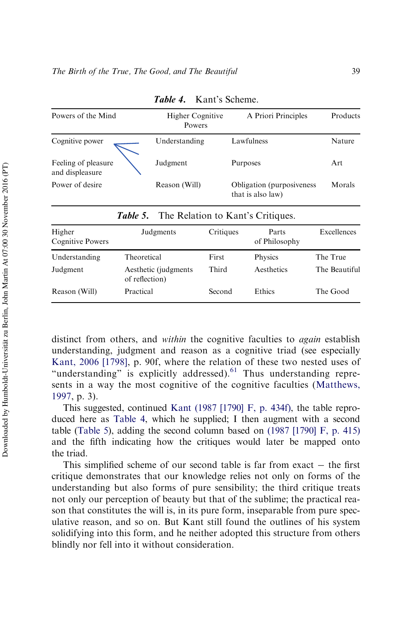| Powers of the Mind                     | Higher Cognitive<br>Powers                        |           | A Priori Principles                             | Products    |
|----------------------------------------|---------------------------------------------------|-----------|-------------------------------------------------|-------------|
| Cognitive power                        | Understanding                                     |           | Lawfulness                                      | Nature      |
| Feeling of pleasure<br>and displeasure | Judgment                                          | Purposes  |                                                 | Art         |
| Power of desire                        | Reason (Will)                                     |           | Obligation (purposiveness)<br>that is also law) | Morals      |
|                                        | <b>Table 5.</b> The Relation to Kant's Critiques. |           |                                                 |             |
| Higher<br>Cognitive Powers             | Judgments                                         | Critiques | Parts<br>of Philosophy                          | Excellences |

Table 4. Kant's Scheme.

<span id="page-36-0"></span>

|                            | <b>Table 5.</b> The Relation to Kant's Critiques. |           |                        |               |
|----------------------------|---------------------------------------------------|-----------|------------------------|---------------|
| Higher<br>Cognitive Powers | Judgments                                         | Critiques | Parts<br>of Philosophy | Excellences   |
| Understanding              | Theoretical                                       | First     | Physics                | The True      |
| Judgment                   | Aesthetic (judgments)<br>of reflection)           | Third     | Aesthetics             | The Beautiful |
| Reason (Will)              | Practical                                         | Second    | Ethics                 | The Good      |

<span id="page-36-1"></span>distinct from others, and *within* the cognitive faculties to *again* establish understanding, judgment and reason as a cognitive triad (see especially [Kant, 2006 \[1798\]](#page-51-14), p. 90f, where the relation of these two nested uses of "understanding" is explicitly addressed). $61$  Thus understanding represents in a way the most cognitive of the cognitive faculties ([Matthews,](#page-51-15) [1997,](#page-51-15) p. 3).

This suggested, continued [Kant \(1987 \[1790\] F, p. 434f\)](#page-51-13), the table reproduced here as [Table 4,](#page-36-0) which he supplied; I then augment with a second table [\(Table 5](#page-36-1)), adding the second column based on [\(1987 \[1790\] F, p. 415\)](#page-51-13) and the fifth indicating how the critiques would later be mapped onto the triad.

This simplified scheme of our second table is far from exact  $-$  the first critique demonstrates that our knowledge relies not only on forms of the understanding but also forms of pure sensibility; the third critique treats not only our perception of beauty but that of the sublime; the practical reason that constitutes the will is, in its pure form, inseparable from pure speculative reason, and so on. But Kant still found the outlines of his system solidifying into this form, and he neither adopted this structure from others blindly nor fell into it without consideration.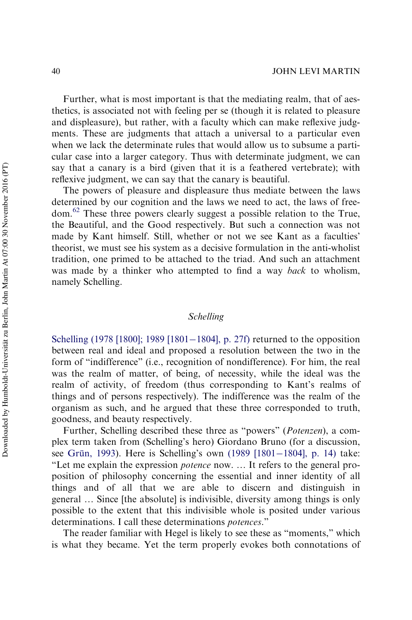Further, what is most important is that the mediating realm, that of aesthetics, is associated not with feeling per se (though it is related to pleasure and displeasure), but rather, with a faculty which can make reflexive judgments. These are judgments that attach a universal to a particular even when we lack the determinate rules that would allow us to subsume a particular case into a larger category. Thus with determinate judgment, we can say that a canary is a bird (given that it is a feathered vertebrate); with reflexive judgment, we can say that the canary is beautiful.

The powers of pleasure and displeasure thus mediate between the laws determined by our cognition and the laws we need to act, the laws of freedom.[62](#page-47-2) These three powers clearly suggest a possible relation to the True, the Beautiful, and the Good respectively. But such a connection was not made by Kant himself. Still, whether or not we see Kant as a faculties' theorist, we must see his system as a decisive formulation in the anti-wholist tradition, one primed to be attached to the triad. And such an attachment was made by a thinker who attempted to find a way *back* to wholism, namely Schelling.

## *Schelling*

[Schelling \(1978 \[1800\]; 1989 \[1801](#page-52-17)–[1804\], p. 27f\)](#page-52-17) returned to the opposition between real and ideal and proposed a resolution between the two in the form of "indifference" (i.e., recognition of nondifference). For him, the real was the realm of matter, of being, of necessity, while the ideal was the realm of activity, of freedom (thus corresponding to Kant's realms of things and of persons respectively). The indifference was the realm of the organism as such, and he argued that these three corresponded to truth, goodness, and beauty respectively.

Further, Schelling described these three as "powers" (*Potenzen*), a complex term taken from (Schelling's hero) Giordano Bruno (for a discussion, see Grün, 1993). Here is Schelling's own [\(1989 \[1801](#page-52-17)–[1804\], p. 14\)](#page-52-17) take: "Let me explain the expression *potence* now. … It refers to the general proposition of philosophy concerning the essential and inner identity of all things and of all that we are able to discern and distinguish in general … Since [the absolute] is indivisible, diversity among things is only possible to the extent that this indivisible whole is posited under various determinations. I call these determinations *potences*."

The reader familiar with Hegel is likely to see these as "moments," which is what they became. Yet the term properly evokes both connotations of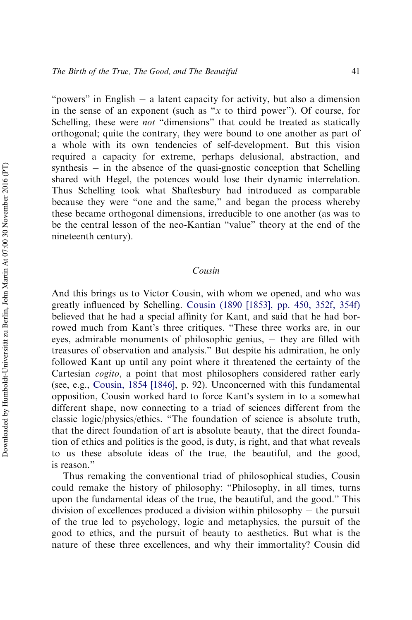"powers" in English  $-$  a latent capacity for activity, but also a dimension in the sense of an exponent (such as "*x* to third power"). Of course, for Schelling, these were *not* "dimensions" that could be treated as statically orthogonal; quite the contrary, they were bound to one another as part of a whole with its own tendencies of self-development. But this vision required a capacity for extreme, perhaps delusional, abstraction, and synthesis  $-$  in the absence of the quasi-gnostic conception that Schelling shared with Hegel, the potences would lose their dynamic interrelation. Thus Schelling took what Shaftesbury had introduced as comparable because they were "one and the same," and began the process whereby these became orthogonal dimensions, irreducible to one another (as was to be the central lesson of the neo-Kantian "value" theory at the end of the nineteenth century).

## *Cousin*

And this brings us to Victor Cousin, with whom we opened, and who was greatly influenced by Schelling. [Cousin \(1890 \[1853\], pp. 450, 352f, 354f\)](#page-48-13) believed that he had a special affinity for Kant, and said that he had borrowed much from Kant's three critiques. "These three works are, in our eyes, admirable monuments of philosophic genius, they are filled with treasures of observation and analysis." But despite his admiration, he only followed Kant up until any point where it threatened the certainty of the Cartesian *cogito*, a point that most philosophers considered rather early (see, e.g., [Cousin, 1854 \[1846\],](#page-48-14) p. 92). Unconcerned with this fundamental opposition, Cousin worked hard to force Kant's system in to a somewhat different shape, now connecting to a triad of sciences different from the classic logic/physics/ethics. "The foundation of science is absolute truth, that the direct foundation of art is absolute beauty, that the direct foundation of ethics and politics is the good, is duty, is right, and that what reveals to us these absolute ideas of the true, the beautiful, and the good, is reason."

Thus remaking the conventional triad of philosophical studies, Cousin could remake the history of philosophy: "Philosophy, in all times, turns upon the fundamental ideas of the true, the beautiful, and the good." This division of excellences produced a division within philosophy  $-$  the pursuit of the true led to psychology, logic and metaphysics, the pursuit of the good to ethics, and the pursuit of beauty to aesthetics. But what is the nature of these three excellences, and why their immortality? Cousin did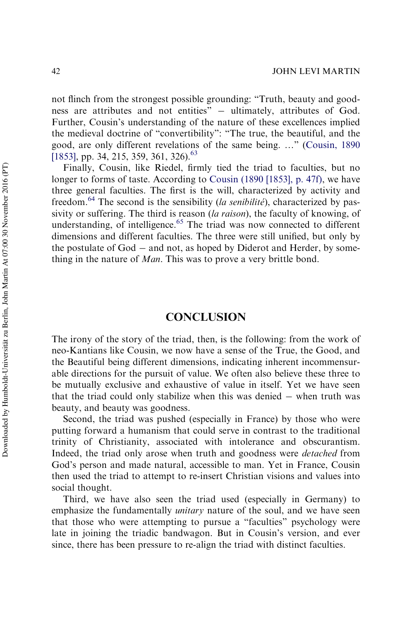not flinch from the strongest possible grounding: "Truth, beauty and goodness are attributes and not entities"  $-$  ultimately, attributes of God. Further, Cousin's understanding of the nature of these excellences implied the medieval doctrine of "convertibility": "The true, the beautiful, and the good, are only different revelations of the same being. …" ([Cousin, 1890](#page-48-13) [\[1853\]](#page-48-13), pp. 34, 215, 359, 361, 326).<sup>[63](#page-47-3)</sup>

Finally, Cousin, like Riedel, firmly tied the triad to faculties, but no longer to forms of taste. According to [Cousin \(1890 \[1853\], p. 47f\)](#page-48-13), we have three general faculties. The first is the will, characterized by activity and freedom.[64](#page-47-4) The second is the sensibility (*la senibilite´*), characterized by passivity or suffering. The third is reason (*la raison*), the faculty of knowing, of understanding, of intelligence.<sup>[65](#page-47-5)</sup> The triad was now connected to different dimensions and different faculties. The three were still unified, but only by the postulate of  $God - and not$ , as hoped by Diderot and Herder, by something in the nature of *Man*. This was to prove a very brittle bond.

# CONCLUSION

The irony of the story of the triad, then, is the following: from the work of neo-Kantians like Cousin, we now have a sense of the True, the Good, and the Beautiful being different dimensions, indicating inherent incommensurable directions for the pursuit of value. We often also believe these three to be mutually exclusive and exhaustive of value in itself. Yet we have seen that the triad could only stabilize when this was denied  $-$  when truth was beauty, and beauty was goodness.

Second, the triad was pushed (especially in France) by those who were putting forward a humanism that could serve in contrast to the traditional trinity of Christianity, associated with intolerance and obscurantism. Indeed, the triad only arose when truth and goodness were *detached* from God's person and made natural, accessible to man. Yet in France, Cousin then used the triad to attempt to re-insert Christian visions and values into social thought.

Third, we have also seen the triad used (especially in Germany) to emphasize the fundamentally *unitary* nature of the soul, and we have seen that those who were attempting to pursue a "faculties" psychology were late in joining the triadic bandwagon. But in Cousin's version, and ever since, there has been pressure to re-align the triad with distinct faculties.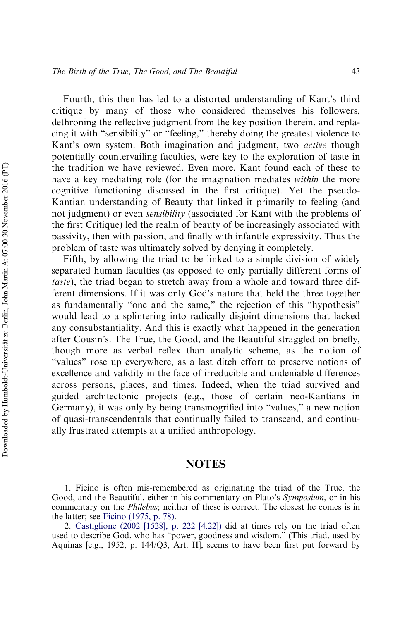Fourth, this then has led to a distorted understanding of Kant's third critique by many of those who considered themselves his followers, dethroning the reflective judgment from the key position therein, and replacing it with "sensibility" or "feeling," thereby doing the greatest violence to Kant's own system. Both imagination and judgment, two *active* though potentially countervailing faculties, were key to the exploration of taste in the tradition we have reviewed. Even more, Kant found each of these to have a key mediating role (for the imagination mediates *within* the more cognitive functioning discussed in the first critique). Yet the pseudo-Kantian understanding of Beauty that linked it primarily to feeling (and not judgment) or even *sensibility* (associated for Kant with the problems of the first Critique) led the realm of beauty of be increasingly associated with passivity, then with passion, and finally with infantile expressivity. Thus the problem of taste was ultimately solved by denying it completely.

Fifth, by allowing the triad to be linked to a simple division of widely separated human faculties (as opposed to only partially different forms of *taste*), the triad began to stretch away from a whole and toward three different dimensions. If it was only God's nature that held the three together as fundamentally "one and the same," the rejection of this "hypothesis" would lead to a splintering into radically disjoint dimensions that lacked any consubstantiality. And this is exactly what happened in the generation after Cousin's. The True, the Good, and the Beautiful straggled on briefly, though more as verbal reflex than analytic scheme, as the notion of "values" rose up everywhere, as a last ditch effort to preserve notions of excellence and validity in the face of irreducible and undeniable differences across persons, places, and times. Indeed, when the triad survived and guided architectonic projects (e.g., those of certain neo-Kantians in Germany), it was only by being transmogrified into "values," a new notion of quasi-transcendentals that continually failed to transcend, and continually frustrated attempts at a unified anthropology.

## NOTES

<span id="page-40-0"></span><sup>1.</sup> Ficino is often mis-remembered as originating the triad of the True, the Good, and the Beautiful, either in his commentary on Plato's *Symposium*, or in his commentary on the *Philebus*; neither of these is correct. The closest he comes is in the latter; see [Ficino \(1975, p. 78\)](#page-49-15).

<span id="page-40-1"></span><sup>2.</sup> [Castiglione \(2002 \[1528\], p. 222 \[4.22\]\)](#page-48-3) did at times rely on the triad often used to describe God, who has "power, goodness and wisdom." (This triad, used by Aquinas [e.g., 1952, p. 144/Q3, Art. II], seems to have been first put forward by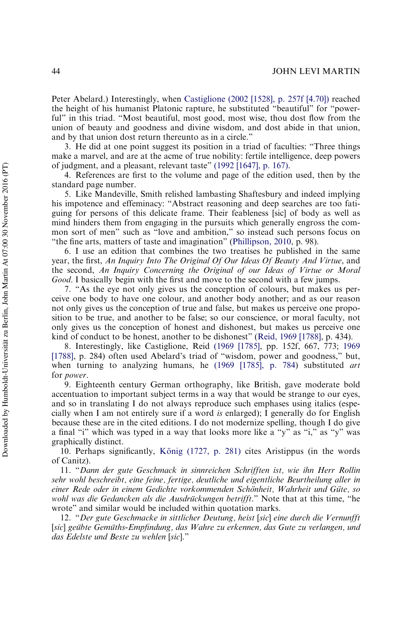Peter Abelard.) Interestingly, when [Castiglione \(2002 \[1528\], p. 257f \[4.70\]\)](#page-48-3) reached the height of his humanist Platonic rapture, he substituted "beautiful" for "powerful" in this triad. "Most beautiful, most good, most wise, thou dost flow from the union of beauty and goodness and divine wisdom, and dost abide in that union, and by that union dost return thereunto as in a circle."

<span id="page-41-0"></span>3. He did at one point suggest its position in a triad of faculties: "Three things make a marvel, and are at the acme of true nobility: fertile intelligence, deep powers of judgment, and a pleasant, relevant taste" [\(1992 \[1647\], p. 167\)](#page-50-2).

<span id="page-41-1"></span>4. References are first to the volume and page of the edition used, then by the standard page number.

<span id="page-41-2"></span>5. Like Mandeville, Smith relished lambasting Shaftesbury and indeed implying his impotence and effeminacy: "Abstract reasoning and deep searches are too fatiguing for persons of this delicate frame. Their feableness [sic] of body as well as mind hinders them from engaging in the pursuits which generally engross the common sort of men" such as "love and ambition," so instead such persons focus on "the fine arts, matters of taste and imagination" [\(Phillipson, 2010,](#page-51-16) p. 98).

<span id="page-41-3"></span>6. I use an edition that combines the two treatises he published in the same year, the first, *An Inquiry Into The Original Of Our Ideas Of Beauty And Virtue*, and the second, *An Inquiry Concerning the Original of our Ideas of Virtue or Moral Good*. I basically begin with the first and move to the second with a few jumps.

<span id="page-41-4"></span>7. "As the eye not only gives us the conception of colours, but makes us perceive one body to have one colour, and another body another; and as our reason not only gives us the conception of true and false, but makes us perceive one proposition to be true, and another to be false; so our conscience, or moral faculty, not only gives us the conception of honest and dishonest, but makes us perceive one kind of conduct to be honest, another to be dishonest" [\(Reid, 1969 \[1788\],](#page-52-4) p. 434).

<span id="page-41-5"></span>8. Interestingly, like Castiglione, Reid [\(1969 \[1785\],](#page-52-3) pp. 152f, 667, 773; [1969](#page-52-4) [\[1788\],](#page-52-4) p. 284) often used Abelard's triad of "wisdom, power and goodness," but, when turning to analyzing humans, he [\(1969 \[1785\], p. 784\)](#page-52-3) substituted *art* for *power*.

<span id="page-41-6"></span>9. Eighteenth century German orthography, like British, gave moderate bold accentuation to important subject terms in a way that would be strange to our eyes, and so in translating I do not always reproduce such emphases using italics (especially when I am not entirely sure if a word *is* enlarged); I generally do for English because these are in the cited editions. I do not modernize spelling, though I do give a final "i" which was typed in a way that looks more like a "y" as "i," as "y" was graphically distinct.

<span id="page-41-7"></span>10. Perhaps significantly, König (1727, p. 281) cites Aristippus (in the words of Canitz).

<span id="page-41-8"></span>11. "*Dann der gute Geschmack in sinnreichen Schrifften ist, wie ihn Herr Rollin sehr wohl beschreibt, eine feine, fertige, deutliche und eigentliche Beurtheilung aller in einer Rede oder in einem Gedichte vorkommenden Scho¨nheit, Wahrheit und Gu¨te, so wohl was die Gedancken als die Ausdrückungen betrifft.*" Note that at this time, "he wrote" and similar would be included within quotation marks.

<span id="page-41-9"></span>12. "*Der gute Geschmacke in sittlicher Deutung, heist* [*sic*] *eine durch die Vernunfft* [*sic*] *geu¨bte Gemu¨ths-Empfindung, das Wahre zu erkennen, das Gute zu verlangen, und das Edelste und Beste zu wehlen* [*sic*]."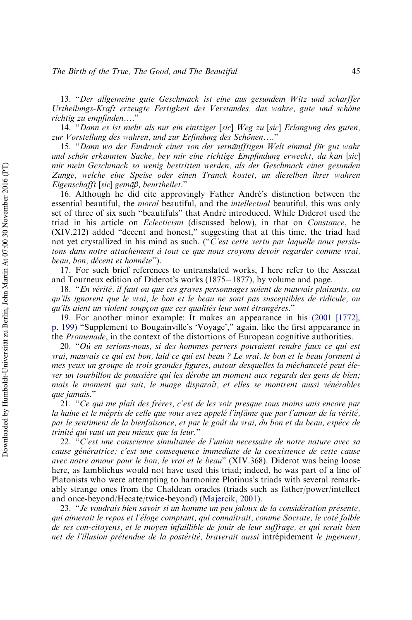<span id="page-42-0"></span>13. "*Der allgemeine gute Geschmack ist eine aus gesundem Witz und scharffer Urtheilungs-Kraft erzeugte Fertigkeit des Verstandes, das wahre, gute und scho¨ne richtig zu empfinden*…."

<span id="page-42-1"></span>14. "*Dann es ist mehr als nur ein eintziger* [*sic*] *Weg zu* [*sic*] *Erlangung des guten,* zur Vorstellung des wahren, und zur Erfindung des Schönen....<sup>"</sup>

<span id="page-42-2"></span>15. "*Dann wo der Eindruck einer von der vernu¨nfftigen Welt einmal fu¨r gut wahr und scho¨n erkannten Sache, bey mir eine richtige Empfindung erweckt, da kan* [*sic*] *mir mein Geschmack so wenig bestritten werden, als der Geschmack einer gesunden Zunge, welche eine Speise oder einen Tranck kostet, un dieselben ihrer wahren Eigenschafft* [*sic*] *gema¨*ß*, beurtheilet*."

<span id="page-42-3"></span>16. Although he did cite approvingly Father André's distinction between the essential beautiful, the *moral* beautiful, and the *intellectual* beautiful, this was only set of three of six such "beautifuls" that Andre´ introduced. While Diderot used the triad in his article on *Eclecticism* (discussed below), in that on *Constance*, he (XIV.212) added "decent and honest," suggesting that at this time, the triad had not yet crystallized in his mind as such. ("*C'est cette vertu par laquelle nous persistons dans notre attachement a` tout ce que nous croyons devoir regarder comme vrai, beau, bon, décent et honnête*").

<span id="page-42-4"></span>17. For such brief references to untranslated works, I here refer to the Assezat and Tourneux edition of Diderot's works  $(1875-1877)$ , by volume and page.

<span id="page-42-5"></span>18. "*En ve´rite´, il faut ou que ces graves personnages soient de mauvais plaisants, ou qu'ils ignorent que le vrai, le bon et le beau ne sont pas susceptibles de ridicule, ou qu'ils aient un violent soupçon que ces qualités leur sont étrangères.*"

<span id="page-42-6"></span>19. For another minor example: It makes an appearance in his [\(2001 \[1772\],](#page-49-16) [p. 199\)](#page-49-16) "Supplement to Bougainville's 'Voyage'," again, like the first appearance in the *Promenade*, in the context of the distortions of European cognitive authorities.

<span id="page-42-7"></span>20. "*Ou` en serions-nous, si des hommes pervers pouvaient rendre faux ce qui est vrai, mauvais ce qui est bon, laid ce qui est beau ? Le vrai, le bon et le beau forment a`* mes yeux un groupe de trois grandes figures, autour desquelles la méchanceté peut éle*ver un tourbillon de poussie`re qui les de´robe un moment aux regards des gens de bien;* mais le moment qui suit, le nuage disparaît, et elles se montrent aussi vénérables *que jamais.*"

<span id="page-42-8"></span>21. "*Ce qui me plaıˆt des fre`res, c'est de les voir presque tous moins unis encore par la haine et le me´pris de celle que vous avez appele´ l'infaˆme que par l'amour de la ve´rite´, par le sentiment de la bienfaisance, et par le gouˆt du vrai, du bon et du beau, espe`ce de trinite´ qui vaut un peu mieux que la leur*."

<span id="page-42-9"></span>22. "*C'est une conscience simultane´e de l'union necessaire de notre nature avec sa cause génératrice; c'est une consequence immediate de la coexistence de cette cause avec notre amour pour le bon, le vrai et le beau*" (XIV.368). Diderot was being loose here, as Iamblichus would not have used this triad; indeed, he was part of a line of Platonists who were attempting to harmonize Plotinus's triads with several remarkably strange ones from the Chaldean oracles (triads such as father/power/intellect and once-beyond/Hecate/twice-beyond) ([Majercik, 2001](#page-51-17)).

<span id="page-42-10"></span>23. "*Je voudrais bien savoir si un homme un peu jaloux de la conside´ration pre´sente, qui aimerait le repos et l'e´loge comptant, qui connaıˆtrait, comme Socrate, le cote´ faible de ses con-citoyens, et le moyen infaillible de jouir de leur suffrage, et qui serait bien net de l'illusion pre´tendue de la poste´rite´, braverait aussi* intre´pidement *le jugement,*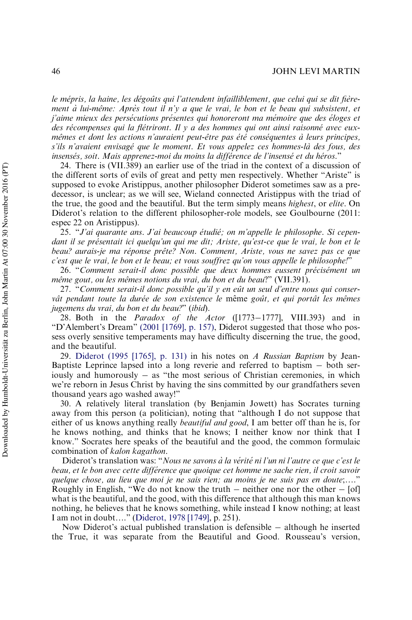#### 46 JOHN LEVI MARTIN

le mépris, la haine, les dégoûts qui l'attendent infailliblement, que celui qui se dit fière*ment à lui-même: Après tout il n'y a que le vrai, le bon et le beau qui subsistent, et j'aime mieux des persécutions présentes qui honoreront ma mémoire que des éloges et* des récompenses qui la flétriront. Il y a des hommes qui ont ainsi raisonné avec eux*meˆmes et dont les actions n'auraient peut-eˆtre pas e´te´ conse´quentes a` leurs principes, s'ils n'avaient envisage´ que le moment. Et vous appelez ces hommes-la` des fous, des* insensés, soit. Mais apprenez-moi du moins la différence de l'insensé et du héros."

<span id="page-43-0"></span>24. There is (VII.389) an earlier use of the triad in the context of a discussion of the different sorts of evils of great and petty men respectively. Whether "Ariste" is supposed to evoke Aristippus, another philosopher Diderot sometimes saw as a predecessor, is unclear; as we will see, Wieland connected Aristippus with the triad of the true, the good and the beautiful. But the term simply means *highest*, or *elite*. On Diderot's relation to the different philosopher-role models, see Goulbourne (2011: espec 22 on Aristippus).

<span id="page-43-1"></span>25. "*J'ai quarante ans. J'ai beaucoup e´tudie´; on m'appelle le philosophe. Si cepen*dant il se présentait ici quelqu'un qui me dit; Ariste, qu'est-ce que le vrai, le bon et le beau? aurais-je ma réponse prête? Non. Comment, Ariste, vous ne savez pas ce que *c'est que le vrai, le bon et le beau; et vous souffrez qu'on vous appelle le philosophe!*"

<span id="page-43-2"></span>26. "Comment serait-il donc possible que deux hommes eussent précisément un *meˆme gout, ou les meˆmes notions du vrai, du bon et du beau*?" (VII.391).

<span id="page-43-3"></span>27. "Comment serait-il donc possible qu'il y en eût un seul d'entre nous qui conservât pendant toute la durée de son existence le même goût, et qui portât les mêmes *jugemens du vrai, du bon et du beau?*" (*ibid*).

<span id="page-43-4"></span>28. Both in the *Paradox of the Actor* ([1773–1777], VIII.393) and in "D'Alembert's Dream" [\(2001 \[1769\], p. 157\),](#page-49-17) Diderot suggested that those who possess overly sensitive temperaments may have difficulty discerning the true, the good, and the beautiful.

<span id="page-43-5"></span>29. [Diderot \(1995 \[1765\], p. 131\)](#page-49-7) in his notes on *A Russian Baptism* by Jean-Baptiste Leprince lapsed into a long reverie and referred to baptism  $-$  both seriously and humorously  $-$  as "the most serious of Christian ceremonies, in which we're reborn in Jesus Christ by having the sins committed by our grandfathers seven thousand years ago washed away!"

<span id="page-43-6"></span>30. A relatively literal translation (by Benjamin Jowett) has Socrates turning away from this person (a politician), noting that "although I do not suppose that either of us knows anything really *beautiful and good*, I am better off than he is, for he knows nothing, and thinks that he knows; I neither know nor think that I know." Socrates here speaks of the beautiful and the good, the common formulaic combination of *kalon kagathon*.

Diderot's translation was: "*Nous ne savons à la vérité ni l'un ni l'autre ce que c'est le beau, et le bon avec cette diffe´rence que quoique cet homme ne sache rien, il croit savoir quelque chose, au lieu que moi je ne sais rien; au moins je ne suis pas en doute*;…." Roughly in English, "We do not know the truth  $-$  neither one nor the other  $-$  [of] what is the beautiful, and the good, with this difference that although this man knows nothing, he believes that he knows something, while instead I know nothing; at least I am not in doubt…." ([Diderot, 1978 \[1749\],](#page-49-18) p. 251).

Now Diderot's actual published translation is defensible  $-$  although he inserted the True, it was separate from the Beautiful and Good. Rousseau's version,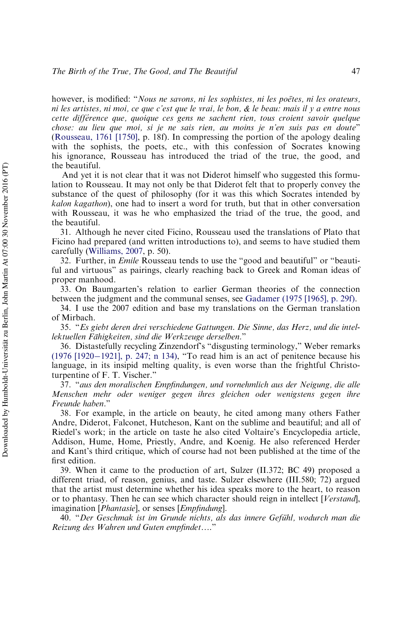however, is modified: "*Nous ne savons, ni les sophistes, ni les poëtes, ni les orateurs, ni les artistes, ni moi, ce que c'est que le vrai, le bon, & le beau: mais il y a entre nous cette diffe´rence que, quoique ces gens ne sachent rien, tous croient savoir quelque chose: au lieu que moi, si je ne sais rien, au moins je n'en suis pas en doute*" [\(Rousseau, 1761 \[1750\],](#page-52-9) p. 18f). In compressing the portion of the apology dealing with the sophists, the poets, etc., with this confession of Socrates knowing his ignorance, Rousseau has introduced the triad of the true, the good, and the beautiful.

And yet it is not clear that it was not Diderot himself who suggested this formulation to Rousseau. It may not only be that Diderot felt that to properly convey the substance of the quest of philosophy (for it was this which Socrates intended by *kalon kagathon*), one had to insert a word for truth, but that in other conversation with Rousseau, it was he who emphasized the triad of the true, the good, and the beautiful.

<span id="page-44-0"></span>31. Although he never cited Ficino, Rousseau used the translations of Plato that Ficino had prepared (and written introductions to), and seems to have studied them carefully ([Williams, 2007](#page-53-2), p. 50).

<span id="page-44-1"></span>32. Further, in *Emile* Rousseau tends to use the "good and beautiful" or "beautiful and virtuous" as pairings, clearly reaching back to Greek and Roman ideas of proper manhood.

<span id="page-44-2"></span>33. On Baumgarten's relation to earlier German theories of the connection between the judgment and the communal senses, see [Gadamer \(1975 \[1965\], p. 29f\)](#page-49-19).

<span id="page-44-3"></span>34. I use the 2007 edition and base my translations on the German translation of Mirbach.

<span id="page-44-4"></span>35. "*Es giebt deren drei verschiedene Gattungen. Die Sinne, das Herz, und die intellektuellen Fa¨higkeiten, sind die Werkzeuge derselben*."

<span id="page-44-5"></span>36. Distastefully recycling Zinzendorf's "disgusting terminology," Weber remarks  $(1976)$  [1920–[1921\], p. 247; n 134\)](#page-53-3), "To read him is an act of penitence because his language, in its insipid melting quality, is even worse than the frightful Christoturpentine of F. T. Vischer."

<span id="page-44-6"></span>37. "*aus den moralischen Empfindungen, und vornehmlich aus der Neigung, die alle Menschen mehr oder weniger gegen ihres gleichen oder wenigstens gegen ihre Freunde haben*."

<span id="page-44-7"></span>38. For example, in the article on beauty, he cited among many others Father Andre, Diderot, Falconet, Hutcheson, Kant on the sublime and beautiful; and all of Riedel's work; in the article on taste he also cited Voltaire's Encyclopedia article, Addison, Hume, Home, Priestly, Andre, and Koenig. He also referenced Herder and Kant's third critique, which of course had not been published at the time of the first edition.

<span id="page-44-8"></span>39. When it came to the production of art, Sulzer (II.372; BC 49) proposed a different triad, of reason, genius, and taste. Sulzer elsewhere (III.580; 72) argued that the artist must determine whether his idea speaks more to the heart, to reason or to phantasy. Then he can see which character should reign in intellect [*Verstand*], imagination [*Phantasie*], or senses [*Empfindung*].

<span id="page-44-9"></span>40. "Der Geschmak ist im Grunde nichts, als das innere Gefühl, wodurch man die *Reizung des Wahren und Guten empfindet*…."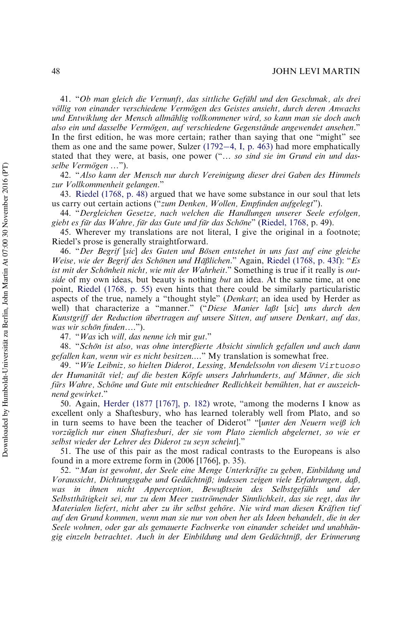#### 48 JOHN LEVI MARTIN

<span id="page-45-0"></span>41. "Ob man gleich die Vernunft, das sittliche Gefühl und den Geschmak, als drei *vo¨llig von einander verschiedene Vermo¨gen des Geistes ansieht, durch deren Anwachs und Entwiklung der Mensch allma¨hlig vollkommener wird, so kann man sie doch auch also ein und dasselbe Vermo¨gen, auf verschiedene Gegensta¨nde angewendet ansehen*." In the first edition, he was more certain; rather than saying that one "might" see them as one and the same power, Sulzer  $(1792-4, I, p. 463)$  $(1792-4, I, p. 463)$  $(1792-4, I, p. 463)$  had more emphatically stated that they were, at basis, one power ("… *so sind sie im Grund ein und dasselbe Vermo¨gen* …").

<span id="page-45-1"></span>42. "*Also kann der Mensch nur durch Vereinigung dieser drei Gaben des Himmels zur Vollkommenheit gelangen*."

<span id="page-45-2"></span>43. [Riedel \(1768, p. 48\)](#page-52-14) argued that we have some substance in our soul that lets us carry out certain actions ("*zum Denken, Wollen, Empfinden aufgelegt*").

<span id="page-45-3"></span>44. "*Dergleichen Gesetze, nach welchen die Handlungen unserer Seele erfolgen, giebt es fu¨r das Wahre, fu¨r das Gute und fu¨r das Scho¨ne*" ([Riedel, 1768](#page-52-14), p. 49).

<span id="page-45-4"></span>45. Wherever my translations are not literal, I give the original in a footnote; Riedel's prose is generally straightforward.

<span id="page-45-5"></span>46. "*Der Begrif* [*sic*] *des Guten und Bo¨sen entstehet in uns fast auf eine gleiche Weise, wie der Begrif des Scho¨nen und Ha¨*ß*lichen*." Again, [Riedel \(1768, p. 43f\):](#page-52-14) "*Es* ist mit der Schönheit nicht, wie mit der Wahrheit." Something is true if it really is out*side* of my own ideas, but beauty is nothing *but* an idea. At the same time, at one point, [Riedel \(1768, p. 55\)](#page-52-14) even hints that there could be similarly particularistic aspects of the true, namely a "thought style" (*Denkart*; an idea used by Herder as well) that characterize a "manner." ("*Diese Manier la*ß*t* [*sic*] *uns durch den* Kunstgriff der Reduction übertragen auf unsere Sitten, auf unsere Denkart, auf das, *was wir scho¨n finden*….").

47. "*Was* ich *will, das nenne ich* mir *gut*."

<span id="page-45-7"></span><span id="page-45-6"></span>48. "*Scho¨n ist also, was ohne intere*ß*ierte Absicht sinnlich gefallen und auch dann gefallen kan, wenn wir es nicht besitzen*…*.*" My translation is somewhat free.

<span id="page-45-8"></span>49. "*Wie Leibniz, so hielten Diderot, Lessing, Mendelssohn von diesem* Virtuoso *der Humanita¨t viel; auf die besten Ko¨pfe unsers Jahrhunderts, auf Ma¨nner, die sich* fürs Wahre, Schöne und Gute mit entschiedner Redlichkeit bemühten, hat er auszeich*nend gewirket*."

<span id="page-45-9"></span>50. Again, [Herder \(1877 \[1767\], p. 182\)](#page-50-14) wrote, "among the moderns I know as excellent only a Shaftesbury, who has learned tolerably well from Plato, and so in turn seems to have been the teacher of Diderot" "[*unter den Neuern wei*ß *ich vorzu¨glich nur einen Shaftesburi, der sie vom Plato ziemlich abgelernet, so wie er selbst wieder der Lehrer des Diderot zu seyn scheint*]."

<span id="page-45-10"></span>51. The use of this pair as the most radical contrasts to the Europeans is also found in a more extreme form in (2006 [1766], p. 35).

<span id="page-45-11"></span>52. "*Man ist gewohnt, der Seele eine Menge Unterkra¨fte zu geben, Einbildung und Voraussicht, Dichtungsgabe und Geda¨chtni*ß*; indessen zeigen viele Erfahrungen, da*ß*, was in ihnen nicht Apperception, Bewußtsein des Selbstgefühls und der Selbsttha¨tigkeit sei, nur zu dem Meer zustro¨mender Sinnlichkeit, das sie regt, das ihr Materialen liefert, nicht aber zu ihr selbst gehöre. Nie wird man diesen Kräften tief auf den Grund kommen, wenn man sie nur von oben her als Ideen behandelt, die in der Seele wohnen, oder gar als gemauerte Fachwerke von einander scheidet und unabha¨ngig einzeln betrachtet. Auch in der Einbildung und dem Geda¨chtni*ß*, der Erinnerung*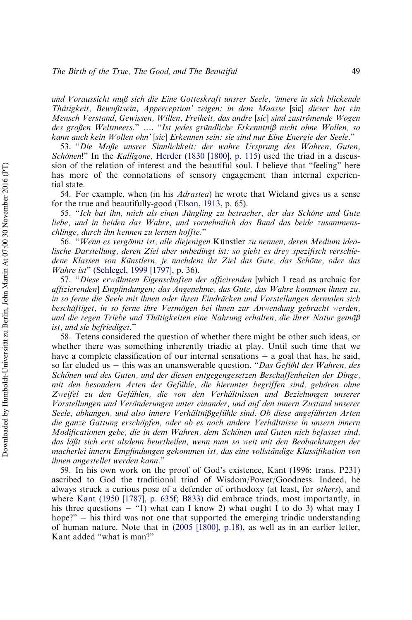#### *The Birth of the True, The Good, and The Beautiful* 49

*und Voraussicht mu*ß *sich die Eine Gotteskraft unsrer Seele, 'innere in sich blickende Tha¨tigkeit, Bewu*ß*tsein, Apperception' zeigen: in dem Maasse* [sic] *dieser hat ein Mensch Verstand, Gewissen, Willen, Freiheit, das andre* [*sic*] *sind zustro¨mende Wogen des gro*ß*en Weltmeers*." …. "*Ist jedes gru¨ndliche Erkenntni*ß *nicht ohne Wollen, so kann auch kein Wollen ohn'* [*sic*] *Erkennen sein: sie sind nur Eine Energie der Seele*."

<span id="page-46-0"></span>53. "*Die Ma*ß*e unsrer Sinnlichkeit: der wahre Ursprung des Wahren, Guten, Schönen*!" In the *Kalligone*, [Herder \(1830 \[1800\], p. 115\)](#page-50-15) used the triad in a discussion of the relation of interest and the beautiful soul. I believe that "feeling" here has more of the connotations of sensory engagement than internal experiential state.

<span id="page-46-1"></span>54. For example, when (in his *Adrastea*) he wrote that Wieland gives us a sense for the true and beautifully-good ([Elson, 1913](#page-49-20), p. 65).

<span id="page-46-2"></span>55. "*Ich bat ihn, mich als einen Ju¨ngling zu betracher, der das Scho¨ne und Gute liebe, und in beiden das Wahre, und vornehmlich das Band das beide zusammenschlinge, durch ihn kennen zu lernen hoffte.*"

<span id="page-46-3"></span>56. "*Wenn es vergo¨nnt ist, alle diejenigen* Ku¨nstler *zu nennen, deren Medium idealische Darstellung, deren Ziel aber unbedingt ist: so giebt es drey spezifisch verschiedene Klassen von Ku¨nstlern, je nachdem ihr Ziel das Gute, das Scho¨ne, oder das Wahre ist*" ([Schlegel, 1999 \[1797\],](#page-52-18) p. 36).

<span id="page-46-4"></span>57. "Diese erwähnten Eigenschaften der afficirenden [which I read as archaic for *affizierenden*] *Empfindungen; das Angenehme, das Gute, das Wahre kommen ihnen zu, in so ferne die Seele mit ihnen oder ihren Eindru¨cken und Vorstellungen dermalen sich bescha¨ftiget, in so ferne ihre Vermo¨gen bei ihnen zur Anwendung gebracht werden, und die regen Triebe und Tha¨tigkeiten eine Nahrung erhalten, die ihrer Natur gema¨*ß *ist, und sie befriediget*."

<span id="page-46-5"></span>58. Tetens considered the question of whether there might be other such ideas, or whether there was something inherently triadic at play. Until such time that we have a complete classification of our internal sensations  $-$  a goal that has, he said, so far eluded us - this was an unanswerable question. "*Das Gefühl des Wahren, des Scho¨nen und des Guten, und der diesen entgegengesetzen Beschaffenheiten der Dinge, mit den besondern Arten der Gefühle, die hierunter begriffen sind, gehören ohne Zweifel zu den Gefu¨hlen, die von den Verha¨ltnissen und Beziehungen unserer Vorstellungen und Vera¨nderungen unter einander, und auf den innern Zustand unserer Seele, abhangen, und also innere Verha¨ltni*ß*gefu¨hle sind. Ob diese angefu¨hrten Arten die ganze Gattung erscho¨pfen, oder ob es noch andere Verha¨ltnisse in unsern innern Modificationen gebe, die in dem Wahren, dem Scho¨nen und Guten nich befasset sind, das la¨*ß*t sich erst alsdenn beurtheilen, wenn man so weit mit den Beobachtungen der macherlei innern Empfindungen gekommen ist, das eine vollsta¨ndige Klassifikation von ihnen angestellet werden kann*."

<span id="page-46-6"></span>59. In his own work on the proof of God's existence, Kant (1996: trans. P231) ascribed to God the traditional triad of Wisdom/Power/Goodness. Indeed, he always struck a curious pose of a defender of orthodoxy (at least, for *others*), and where [Kant \(1950 \[1787\], p. 635f; B833\)](#page-51-18) did embrace triads, most importantly, in his three questions  $-$  "1) what can I know 2) what ought I to do 3) what may I hope?"  $-$  his third was not one that supported the emerging triadic understanding of human nature. Note that in [\(2005 \[1800\], p.18\),](#page-51-19) as well as in an earlier letter, Kant added "what is man?"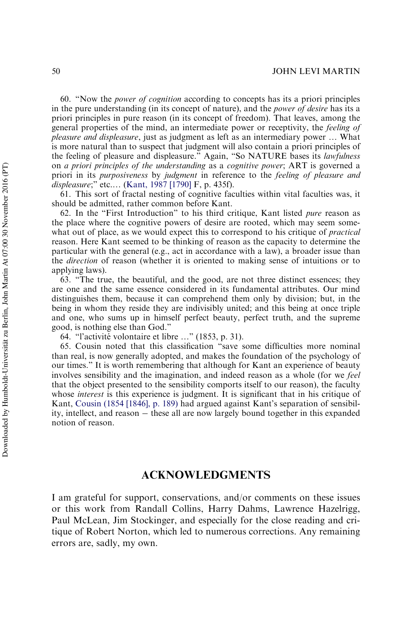<span id="page-47-0"></span>60. "Now the *power of cognition* according to concepts has its a priori principles in the pure understanding (in its concept of nature), and the *power of desire* has its a priori principles in pure reason (in its concept of freedom). That leaves, among the general properties of the mind, an intermediate power or receptivity, the *feeling of pleasure and displeasure*, just as judgment as left as an intermediary power … What is more natural than to suspect that judgment will also contain a priori principles of the feeling of pleasure and displeasure." Again, "So NATURE bases its *lawfulness* on *a priori principles of the understanding* as a *cognitive power*; ART is governed a priori in its *purposiveness* by *judgment* in reference to the *feeling of pleasure and displeasure*;" etc.… [\(Kant, 1987 \[1790\]](#page-51-13) F, p. 435f).

<span id="page-47-1"></span>61. This sort of fractal nesting of cognitive faculties within vital faculties was, it should be admitted, rather common before Kant.

<span id="page-47-2"></span>62. In the "First Introduction" to his third critique, Kant listed *pure* reason as the place where the cognitive powers of desire are rooted, which may seem somewhat out of place, as we would expect this to correspond to his critique of *practical* reason. Here Kant seemed to be thinking of reason as the capacity to determine the particular with the general (e.g., act in accordance with a law), a broader issue than the *direction* of reason (whether it is oriented to making sense of intuitions or to applying laws).

<span id="page-47-3"></span>63. "The true, the beautiful, and the good, are not three distinct essences; they are one and the same essence considered in its fundamental attributes. Our mind distinguishes them, because it can comprehend them only by division; but, in the being in whom they reside they are indivisibly united; and this being at once triple and one, who sums up in himself perfect beauty, perfect truth, and the supreme good, is nothing else than God."

64. "l'activité volontaire et libre ..." (1853, p. 31).

<span id="page-47-5"></span><span id="page-47-4"></span>65. Cousin noted that this classification "save some difficulties more nominal than real, is now generally adopted, and makes the foundation of the psychology of our times." It is worth remembering that although for Kant an experience of beauty involves sensibility and the imagination, and indeed reason as a whole (for we *feel* that the object presented to the sensibility comports itself to our reason), the faculty whose *interest* is this experience is judgment. It is significant that in his critique of Kant, [Cousin \(1854 \[1846\], p. 189\)](#page-48-14) had argued against Kant's separation of sensibility, intellect, and reason – these all are now largely bound together in this expanded notion of reason.

## ACKNOWLEDGMENTS

I am grateful for support, conservations, and/or comments on these issues or this work from Randall Collins, Harry Dahms, Lawrence Hazelrigg, Paul McLean, Jim Stockinger, and especially for the close reading and critique of Robert Norton, which led to numerous corrections. Any remaining errors are, sadly, my own.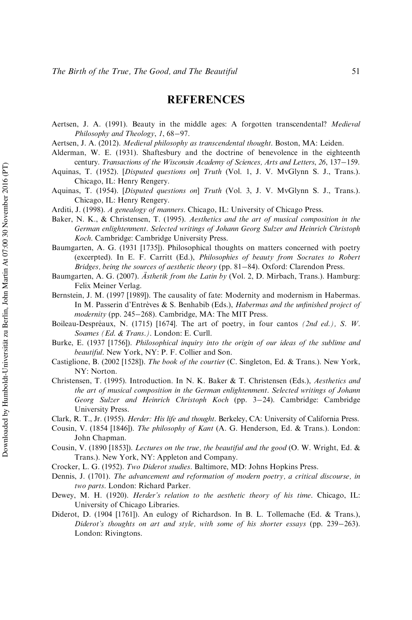# REFERENCES

Aertsen, J. A. (1991). Beauty in the middle ages: A forgotten transcendental? *Medieval Philosophy and Theology*, *1*, 68-97.

- Aertsen, J. A. (2012). *[Medieval philosophy as transcendental thought](http://www.emeraldinsight.com/action/showLinks?crossref=10.1163%2F9789004225855)*. Boston, MA: Leiden.
- <span id="page-48-4"></span>Alderman, W. E. (1931). Shaftesbury and the doctrine of benevolence in the eighteenth century. *Transactions of the Wisconsin Academy of Sciences, Arts and Letters, 26, 137-159.*
- Aquinas, T. (1952). [*Disputed questions on*] *Truth* (Vol. 1, J. V. MvGlynn S. J., Trans.). Chicago, IL: Henry Rengery.
- <span id="page-48-1"></span>Aquinas, T. (1954). [*Disputed questions on*] *Truth* (Vol. 3, J. V. MvGlynn S. J., Trans.). Chicago, IL: Henry Rengery.
- <span id="page-48-2"></span>Arditi, J. (1998). *A genealogy of manners*. Chicago, IL: University of Chicago Press.
- <span id="page-48-11"></span>Baker, N. K., & Christensen, T. (1995). *Aesthetics and the art of musical composition in the German enlightenment. Selected writings of Johann Georg Sulzer and Heinrich Christoph Koch*. Cambridge: Cambridge University Press.
- <span id="page-48-9"></span>Baumgarten, A. G. (1931 [1735]). Philosophical thoughts on matters concerned with poetry (excerpted). In E. F. Carritt (Ed.), *Philosophies of beauty from Socrates to Robert Bridges, being the sources of aesthetic theory* (pp. 81-84). Oxford: Clarendon Press.
- Baumgarten, A. G. (2007). *Asthetik from the Latin by* (Vol. 2, D. Mirbach, Trans.). Hamburg: Felix Meiner Verlag.
- <span id="page-48-0"></span>Bernstein, J. M. (1997 [1989]). The causality of fate: Modernity and modernism in Habermas. In M. Passerin d'Entrèves & S. Benhabib (Eds.), *Habermas and the unfinished project of* modernity (pp. 245-268). Cambridge, MA: The MIT Press.
- Boileau-Despréaux, N. (1715) [1674]. The art of poetry, in four cantos *(2nd ed.)*, S. W. *Soames (Ed. & Trans.)*. London: E. Curll.
- <span id="page-48-5"></span>Burke, E. (1937 [1756]). *Philosophical inquiry into the origin of our ideas of the sublime and beautiful*. New York, NY: P. F. Collier and Son.
- <span id="page-48-3"></span>Castiglione, B. (2002 [1528]). *The book of the courtier* (C. Singleton, Ed. & Trans.). New York, NY: Norton.
- <span id="page-48-10"></span>Christensen, T. (1995). Introduction. In N. K. Baker & T. Christensen (Eds.), *Aesthetics and the art of musical composition in the German enlightenment. Selected writings of Johann* Georg Sulzer and Heinrich Christoph Koch (pp. 3-24). Cambridge: Cambridge University Press.
- Clark, R. T., Jr. (1955). *Herder: His life and thought*. Berkeley, CA: University of California Press.
- <span id="page-48-14"></span><span id="page-48-12"></span>Cousin, V. (1854 [1846]). *The philosophy of Kant* (A. G. Henderson, Ed. & Trans.). London: John Chapman.
- <span id="page-48-13"></span>Cousin, V. (1890 [1853]). *Lectures on the true, the beautiful and the good* (O. W. Wright, Ed. & Trans.). New York, NY: Appleton and Company.
- Crocker, L. G. (1952). *Two Diderot studies*. Baltimore, MD: Johns Hopkins Press.
- <span id="page-48-7"></span>Dennis, J. (1701). *The advancement and reformation of modern poetry, a critical discourse, in two parts*. London: Richard Parker.
- <span id="page-48-6"></span>Dewey, M. H. (1920). *Herder's relation to the aesthetic theory of his time*. Chicago, IL: University of Chicago Libraries.
- <span id="page-48-8"></span>Diderot, D. (1904 [1761]). An eulogy of Richardson. In B. L. Tollemache (Ed. & Trans.), *Diderot's thoughts on art and style, with some of his shorter essays* (pp. 239–263). London: Rivingtons.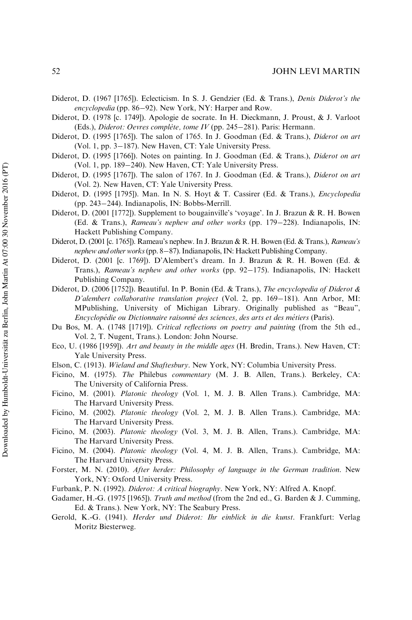#### 52 JOHN LEVI MARTIN

- <span id="page-49-6"></span>Diderot, D. (1967 [1765]). Eclecticism. In S. J. Gendzier (Ed. & Trans.), *Denis Diderot's the* encyclopedia (pp. 86–92). New York, NY: Harper and Row.
- <span id="page-49-18"></span>Diderot, D. (1978 [c. 1749]). Apologie de socrate. In H. Dieckmann, J. Proust, & J. Varloot (Eds.), *Diderot: Oevres complète, tome IV* (pp. 245-281). Paris: Hermann.
- <span id="page-49-9"></span>Diderot, D. (1995 [1765]). The salon of 1765. In J. Goodman (Ed. & Trans.), *Diderot on art* (Vol. 1, pp.  $3-187$ ). New Haven, CT: Yale University Press.
- <span id="page-49-11"></span>Diderot, D. (1995 [1766]). Notes on painting. In J. Goodman (Ed. & Trans.), *Diderot on art* (Vol. 1, pp.  $189-240$ ). New Haven, CT: Yale University Press.
- <span id="page-49-7"></span>Diderot, D. (1995 [1767]). The salon of 1767. In J. Goodman (Ed. & Trans.), *Diderot on art* (Vol. 2). New Haven, CT: Yale University Press.
- <span id="page-49-12"></span>Diderot, D. (1995 [1795]). Man. In N. S. Hoyt & T. Cassirer (Ed. & Trans.), *Encyclopedia* (pp. 243–244). Indianapolis, IN: Bobbs-Merrill.
- <span id="page-49-16"></span>Diderot, D. (2001 [1772]). Supplement to bougainville's 'voyage'. In J. Brazun & R. H. Bowen (Ed. & Trans.), *Rameau's nephew and other works* (pp. 179-228). Indianapolis, IN: Hackett Publishing Company.
- <span id="page-49-8"></span>Diderot, D. (2001 [c. 1765]). Rameau's nephew. In J. Brazun & R. H. Bowen (Ed. & Trans.), *Rameau's* nephew and other works (pp. 8-87). Indianapolis, IN: Hackett Publishing Company.
- <span id="page-49-17"></span>Diderot, D. (2001 [c. 1769]). D'Alembert's dream. In J. Brazun & R. H. Bowen (Ed. & Trans.), *Rameau's nephew and other works* (pp. 92-175). Indianapolis, IN: Hackett Publishing Company.
- <span id="page-49-5"></span>Diderot, D. (2006 [1752]). Beautiful. In P. Bonin (Ed. & Trans.), *The encyclopedia of Diderot & D'alembert collaborative translation project* (Vol. 2, pp. 169–181). Ann Arbor, MI: MPublishing, University of Michigan Library. Originally published as "Beau", *Encyclope´die ou Dictionnaire raisonne´ des sciences, des arts et des me´tiers* (Paris).
- <span id="page-49-4"></span>Du Bos, M. A. (1748 [1719]). *Critical reflections on poetry and painting* (from the 5th ed., Vol. 2, T. Nugent, Trans.). London: John Nourse.
- <span id="page-49-0"></span>Eco, U. (1986 [1959]). *Art and beauty in the middle ages* (H. Bredin, Trans.). New Haven, CT: Yale University Press.
- Elson, C. (1913). *Wieland and Shaftesbury*. New York, NY: Columbia University Press.
- <span id="page-49-20"></span><span id="page-49-15"></span>Ficino, M. (1975). *The* Philebus *commentary* (M. J. B. Allen, Trans.). Berkeley, CA: The University of California Press.
- Ficino, M. (2001). *Platonic theology* (Vol. 1, M. J. B. Allen Trans.)*.* Cambridge, MA: The Harvard University Press.
- <span id="page-49-1"></span>Ficino, M. (2002). *Platonic theology* (Vol. 2, M. J. B. Allen Trans.). Cambridge, MA: The Harvard University Press.
- <span id="page-49-2"></span>Ficino, M. (2003). *Platonic theology* (Vol. 3, M. J. B. Allen, Trans.). Cambridge, MA: The Harvard University Press.
- <span id="page-49-3"></span>Ficino, M. (2004). *Platonic theology* (Vol. 4, M. J. B. Allen, Trans.). Cambridge, MA: The Harvard University Press.
- <span id="page-49-14"></span>Forster, M. N. (2010). *After herder: Philosophy of language in the German tradition*. New York, NY: Oxford University Press.
- Furbank, P. N. (1992). *Diderot: A critical biography*. New York, NY: Alfred A. Knopf.
- <span id="page-49-19"></span><span id="page-49-10"></span>Gadamer, H.-G. (1975 [1965]). *Truth and method* (from the 2nd ed., G. Barden & J. Cumming, Ed. & Trans.). New York, NY: The Seabury Press.
- <span id="page-49-13"></span>Gerold, K.-G. (1941). *Herder und Diderot: Ihr einblick in die kunst*. Frankfurt: Verlag Moritz Biesterweg.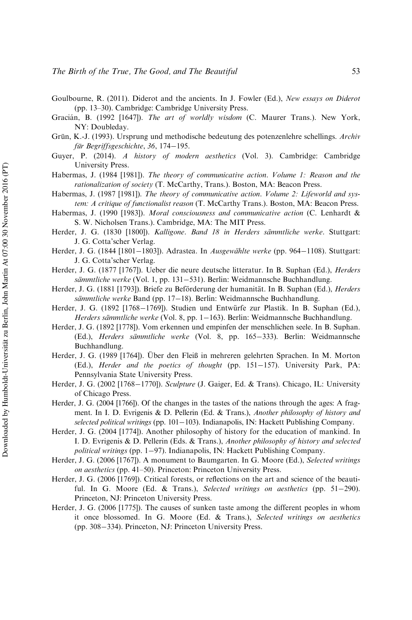- Goulbourne, R. (2011). Diderot and the ancients. In J. Fowler (Ed.), *[New essays on Diderot](http://www.emeraldinsight.com/action/showLinks?crossref=10.1017%2FCBO9780511975202.002)* [\(pp. 13–30\)](http://www.emeraldinsight.com/action/showLinks?crossref=10.1017%2FCBO9780511975202.002). Cambridge: Cambridge University Press.
- <span id="page-50-2"></span>Gracia´n, B. (1992 [1647]). *The art of worldly wisdom* (C. Maurer Trans.). New York, NY: Doubleday.
- <span id="page-50-13"></span>Grün, K.-J. (1993). Ursprung und methodische bedeutung des potenzenlehre schellings. Archiv *für Begriffsgeschichte*, 36, 174-195.
- <span id="page-50-1"></span>Guyer, P. (2014). *A history of modern aesthetics* (Vol. 3). Cambridge: Cambridge University Press.
- Habermas, J. (1984 [1981]). *The theory of communicative action. Volume 1: Reason and the rationalization of society* (T. McCarthy, Trans.). Boston, MA: Beacon Press.
- Habermas, J. (1987 [1981]). *The theory of communicative action. Volume 2: Lifeworld and system: A critique of functionalist reason* (T. McCarthy Trans.). Boston, MA: Beacon Press.
- <span id="page-50-0"></span>Habermas, J. (1990 [1983]). *Moral consciousness and communicative action* (C. Lenhardt & S. W. Nicholsen Trans.). Cambridge, MA: The MIT Press.
- <span id="page-50-15"></span>Herder, J. G. (1830 [1800]). *Kalligone. Band 18 in Herders sämmtliche werke*. Stuttgart: J. G. Cotta'scher Verlag.
- <span id="page-50-4"></span>Herder, J. G. (1844 [1801–1803]). Adrastea. In *Ausgewählte werke* (pp. 964–1108). Stuttgart: J. G. Cotta'scher Verlag.
- <span id="page-50-14"></span>Herder, J. G. (1877 [1767]). Ueber die neure deutsche litteratur. In B. Suphan (Ed.), *Herders* sämmtliche werke (Vol. 1, pp. 131–531). Berlin: Weidmannsche Buchhandlung.
- <span id="page-50-5"></span>Herder, J. G. (1881 [1793]). Briefe zu Beförderung der humanität. In B. Suphan (Ed.), *Herders sämmtliche werke* Band (pp. 17–18). Berlin: Weidmannsche Buchhandlung.
- <span id="page-50-10"></span>Herder, J. G. (1892 [1768–1769]). Studien und Entwürfe zur Plastik. In B. Suphan (Ed.), *Herders sämmtliche werke* (Vol. 8, pp. 1–163). Berlin: Weidmannsche Buchhandlung.
- <span id="page-50-7"></span>Herder, J. G. (1892 [1778]). Vom erkennen und empinfen der menschlichen seele. In B. Suphan. (Ed.), *Herders sämmtliche werke* (Vol. 8, pp. 165-333). Berlin: Weidmannsche Buchhandlung.
- <span id="page-50-8"></span>Herder, J. G. (1989 [1764]). Über den Fleiß in mehreren gelehrten Sprachen. In M. Morton (Ed.), *Herder and the poetics of thought* (pp. 151–157). University Park, PA: Pennsylvania State University Press.
- <span id="page-50-12"></span>Herder, J. G. (2002 [1768–1770]). *Sculpture* (J. Gaiger, Ed. & Trans). Chicago, IL: University of Chicago Press.
- <span id="page-50-11"></span>Herder, J. G. (2004 [1766]). Of the changes in the tastes of the nations through the ages: A fragment. In I. D. Evrigenis & D. Pellerin (Ed. & Trans.), *Another philosophy of history and* selected political writings (pp. 101-103). Indianapolis, IN: Hackett Publishing Company.
- <span id="page-50-6"></span>Herder, J. G. (2004 [1774]). Another philosophy of history for the education of mankind. In I. D. Evrigenis & D. Pellerin (Eds. & Trans.), *Another philosophy of history and selected political writings* (pp. 197). Indianapolis, IN: Hackett Publishing Company.
- Herder, J. G. (2006 [1767]). A monument to Baumgarten. In G. Moore (Ed.), *Selected writings on aesthetics* (pp. 41–50). Princeton: Princeton University Press.
- <span id="page-50-3"></span>Herder, J. G. (2006 [1769]). Critical forests, or reflections on the art and science of the beautiful. In G. Moore (Ed.  $\&$  Trans.), *Selected writings on aesthetics* (pp. 51–290). Princeton, NJ: Princeton University Press.
- <span id="page-50-9"></span>Herder, J. G. (2006 [1775]). The causes of sunken taste among the different peoples in whom it once blossomed. In G. Moore (Ed. & Trans.), *Selected writings on aesthetics* (pp. 308-334). Princeton, NJ: Princeton University Press.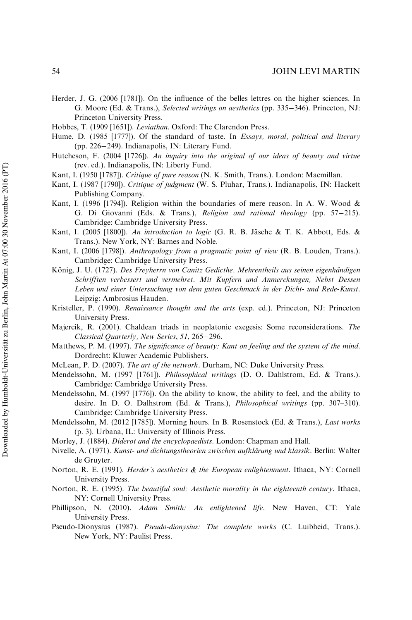- <span id="page-51-12"></span>Herder, J. G. (2006 [1781]). On the influence of the belles lettres on the higher sciences. In G. Moore (Ed. & Trans.), *Selected writings on aesthetics* (pp. 335–346). Princeton, NJ: Princeton University Press.
- Hobbes, T. (1909 [1651]). *Leviathan*. Oxford: The Clarendon Press.
- <span id="page-51-4"></span>Hume, D. (1985 [1777]). Of the standard of taste. In *Essays, moral, political and literary* (pp. 226–249). Indianapolis, IN: Literary Fund.
- <span id="page-51-3"></span>Hutcheson, F. (2004 [1726]). *An inquiry into the original of our ideas of beauty and virtue* (rev. ed.). Indianapolis, IN: Liberty Fund.
- <span id="page-51-18"></span>Kant, I. (1950 [1787]). *Critique of pure reason* (N. K. Smith, Trans.). London: Macmillan.
- <span id="page-51-13"></span>Kant, I. (1987 [1790]). *Critique of judgment* (W. S. Pluhar, Trans.). Indianapolis, IN: Hackett Publishing Company.
- Kant, I. (1996 [1794]). Religion within the boundaries of mere reason. In A. W. Wood & G. Di Giovanni (Eds. & Trans.), *Religion and rational theology* (pp. 57-215). Cambridge: Cambridge University Press.
- <span id="page-51-19"></span>Kant, I. (2005 [1800]). *An introduction to logic* (G. R. B. Jäsche & T. K. Abbott, Eds. & Trans.). New York, NY: Barnes and Noble.
- <span id="page-51-14"></span>Kant, I. (2006 [1798]). *Anthropology from a pragmatic point of view* (R. B. Louden, Trans.). Cambridge: Cambridge University Press.
- <span id="page-51-7"></span>König, J. U. (1727). *Des Freyherrn von Canitz Gedicthe, Mehrentheils aus seinen eigenhändigen Schrifften verbessert und vermehret. Mit Kupfern und Anmerckungen, Nebst Dessen Leben und einer Untersuchung von dem guten Geschmack in der Dicht- und Rede-Kunst*. Leipzig: Ambrosius Hauden.
- <span id="page-51-6"></span>Kristeller, P. (1990). *Renaissance thought and the arts* (exp. ed.). Princeton, NJ: Princeton University Press.
- <span id="page-51-17"></span>Majercik, R. (2001). Chaldean triads in neoplatonic exegesis: Some reconsiderations. *[The](http://www.emeraldinsight.com/action/showLinks?crossref=10.1093%2Fcq%2F51.1.265) [Classical Quarterly, New Series](http://www.emeraldinsight.com/action/showLinks?crossref=10.1093%2Fcq%2F51.1.265), 51, 265-296.*
- <span id="page-51-15"></span>Matthews, P. M. (1997). *[The significance of beauty: Kant on feeling and the system of the mind](http://www.emeraldinsight.com/action/showLinks?crossref=10.1007%2F978-94-015-8967-3)*. Dordrecht: Kluwer Academic Publishers.
- McLean, P. D. (2007). *[The art of the network](http://www.emeraldinsight.com/action/showLinks?crossref=10.1215%2F9780822390367)*. Durham, NC: Duke University Press.
- <span id="page-51-10"></span><span id="page-51-2"></span>Mendelssohn, M. (1997 [1761]). *Philosophical writings* (D. O. Dahlstrom, Ed. & Trans.). Cambridge: Cambridge University Press.
- Mendelssohn, M. (1997 [1776]). On the ability to know, the ability to feel, and the ability to desire. In D. O. Dalhstrom (Ed. & Trans.), *Philosophical writings* (pp. 307–310). Cambridge: Cambridge University Press.
- <span id="page-51-11"></span>Mendelssohn, M. (2012 [1785]). Morning hours. In B. Rosenstock (Ed. & Trans.), *Last works* (p. 3). Urbana, IL: University of Illinois Press.
- Morley, J. (1884). *Diderot and the encyclopaedists*. London: Chapman and Hall.
- <span id="page-51-8"></span><span id="page-51-5"></span>Nivelle, A. (1971). *[Kunst- und dichtungstheorien zwischen aufkla¨rung und klassik](http://www.emeraldinsight.com/action/showLinks?crossref=10.1515%2F9783110836172)*. Berlin: Walter de Gruyter.
- <span id="page-51-9"></span>Norton, R. E. (1991). *Herder's aesthetics & the European enlightenment*. Ithaca, NY: Cornell University Press.
- <span id="page-51-0"></span>Norton, R. E. (1995). *The beautiful soul: Aesthetic morality in the eighteenth century*. Ithaca, NY: Cornell University Press.
- <span id="page-51-16"></span>Phillipson, N. (2010). *Adam Smith: An enlightened life*. New Haven, CT: Yale University Press.
- <span id="page-51-1"></span>Pseudo-Dionysius (1987). *Pseudo-dionysius: The complete works* (C. Luibheid, Trans.). New York, NY: Paulist Press.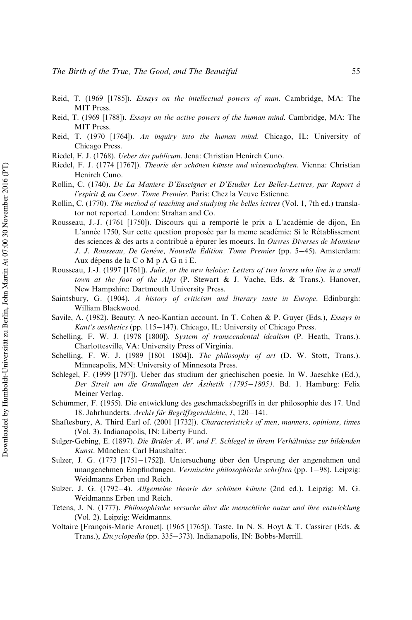- <span id="page-52-3"></span>Reid, T. (1969 [1785]). *Essays on the intellectual powers of man*. Cambridge, MA: The MIT Press.
- <span id="page-52-4"></span>Reid, T. (1969 [1788]). *Essays on the active powers of the human mind*. Cambridge, MA: The MIT Press.
- <span id="page-52-5"></span>Reid, T. (1970 [1764]). *An inquiry into the human mind*. Chicago, IL: University of Chicago Press.
- <span id="page-52-14"></span>Riedel, F. J. (1768). *Ueber das publicum*. Jena: Christian Henirch Cuno.
- <span id="page-52-13"></span>Riedel, F. J. (1774 [1767]). *Theorie der schönen künste und wissenschaften*. Vienna: Christian Henirch Cuno.
- Rollin, C. (1740). *De La Maniere D'Enseigner et D'Etudier Les Belles-Lettres, par Raport a` l'espirit & au Coeur. Tome Premier*. Paris: Chez la Veuve Estienne.
- <span id="page-52-6"></span>Rollin, C. (1770). *The method of teaching and studying the belles lettres* (Vol. 1, 7th ed.) translator not reported. London: Strahan and Co.
- <span id="page-52-9"></span>Rousseau, J.-J. (1761 [1750]). Discours qui a remporté le prix a L'académie de dijon, En L'année 1750, Sur cette question proposée par la meme académie: Si le Rétablissement des sciences & des arts a contribue´ a e´purer les moeurs. In *Ouvres Diverses de Monsieur J. J. Rousseau, De Genéve, Nouvelle Édition, Tome Premier* (pp. 5–45). Amsterdam: Aux dépens de la C o M p A G n i E.
- <span id="page-52-10"></span>Rousseau, J.-J. (1997 [1761]). *Julie, or the new heloise: Letters of two lovers who live in a small town at the foot of the Alps* (P. Stewart & J. Vache, Eds. & Trans.). Hanover, New Hampshire: Dartmouth University Press.
- <span id="page-52-7"></span>Saintsbury, G. (1904). *A history of criticism and literary taste in Europe*. Edinburgh: William Blackwood.
- <span id="page-52-2"></span>Savile, A. (1982). Beauty: A neo-Kantian account. In T. Cohen & P. Guyer (Eds.), *Essays in Kant's aesthetics* (pp. 115–147). Chicago, IL: University of Chicago Press.
- Schelling, F. W. J. (1978 [1800]). *System of transcendental idealism* (P. Heath, Trans.). Charlottesville, VA: University Press of Virginia.
- <span id="page-52-17"></span>Schelling, F. W. J. (1989 [1801-1804]). *The philosophy of art* (D. W. Stott, Trans.). Minneapolis, MN: University of Minnesota Press.
- <span id="page-52-18"></span>Schlegel, F. (1999 [1797]). Ueber das studium der griechischen poesie. In W. Jaeschke (Ed.), *Der Streit um die Grundlagen der A¨sthetik (17951805)*. Bd. 1. Hamburg: Felix Meiner Verlag.
- <span id="page-52-0"></span>Schümmer, F. (1955). Die entwicklung des geschmacksbegriffs in der philosophie des 17. Und 18. Jahrhunderts. *Archiv für Begriffsgeschichte*, 1, 120–141.
- <span id="page-52-1"></span>Shaftesbury, A. Third Earl of. (2001 [1732]). *[Characteristicks of men, manners, opinions, times](http://www.emeraldinsight.com/action/showLinks?crossref=10.1017%2FCBO9780511803284)* (Vol. 3). Indianapolis, IN: Liberty Fund.
- <span id="page-52-15"></span>Sulger-Gebing, E. (1897). *Die Brüder A. W. und F. Schlegel in ihrem Verhältnisse zur bildenden* Kunst. München: Carl Haushalter.
- <span id="page-52-11"></span>Sulzer, J. G. (1773 [1751-1752]). Untersuchung über den Ursprung der angenehmen und unangenehmen Empfindungen. *Vermischte philosophische schriften* (pp. 1–98). Leipzig: Weidmanns Erben und Reich.
- <span id="page-52-12"></span>Sulzer, J. G. (1792-4). *Allgemeine theorie der schönen künste* (2nd ed.). Leipzig: M. G. Weidmanns Erben und Reich.
- <span id="page-52-16"></span>Tetens, J. N. (1777). *Philosophische versuche über die menschliche natur und ihre entwicklung* (Vol. 2). Leipzig: Weidmanns.
- <span id="page-52-8"></span>Voltaire [François-Marie Arouet]. (1965 [1765]). Taste. In N. S. Hoyt & T. Cassirer (Eds. & Trans.), *Encyclopedia* (pp. 335–373). Indianapolis, IN: Bobbs-Merrill.